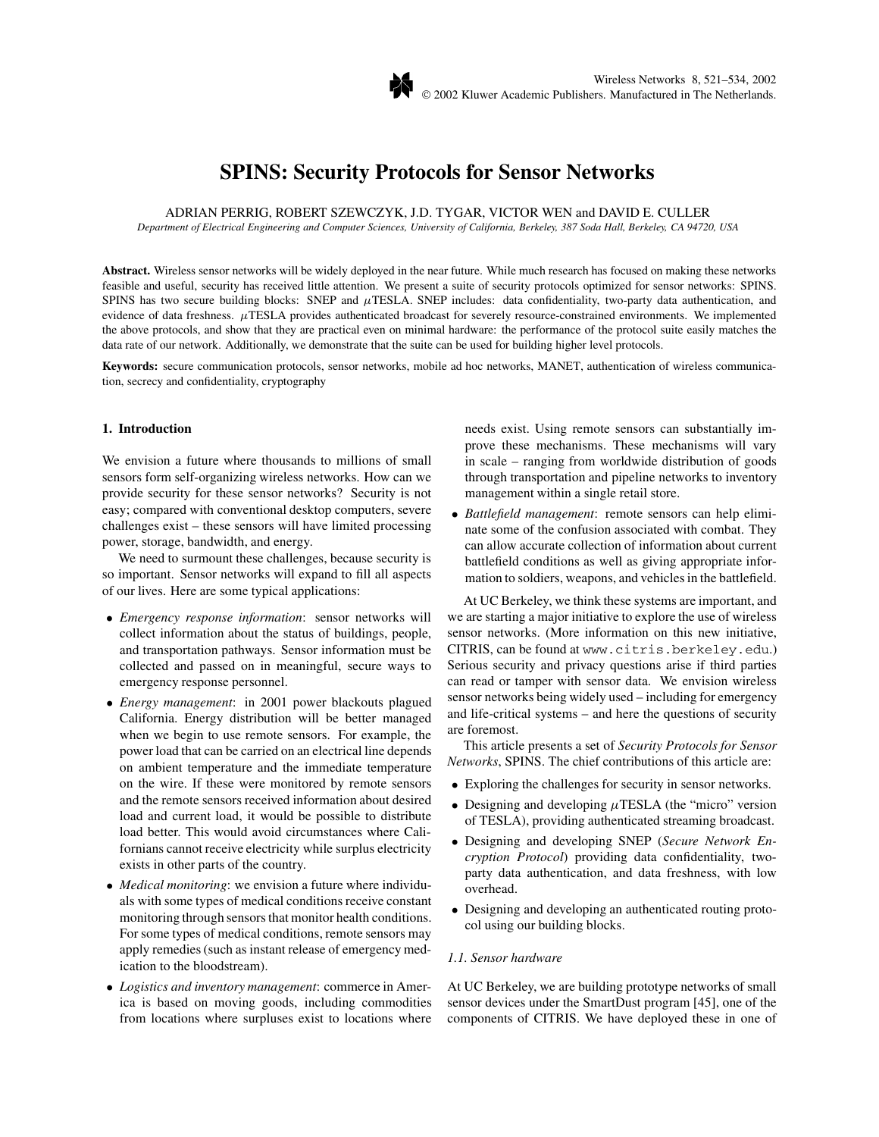# SPINS: Security Protocols for Sensor Networks

ADRIAN PERRIG, ROBERT SZEWCZYK, J.D. TYGAR, VICTOR WEN and DAVID E. CULLER

Department of Electrical Engineering and Computer Sciences, University of California, Berkeley, 387 Soda Hall, Berkeley, CA 94720, USA

Abstract. Wireless sensor networks will be widely deployed in the near future. While much research has focused on making these networks feasible and useful, security has received little attention. We present a suite of security protocols optimized for sensor networks: SPINS. SPINS has two secure building blocks: SNEP and  $\mu$ TESLA. SNEP includes: data confidentiality, two-party data authentication, and evidence of data freshness.  $\mu$ TESLA provides authenticated broadcast for severely resource-constrained environments. We implemented the above protocols, and show that they are practical even on minimal hardware: the performance of the protocol suite easily matches the data rate of our network. Additionally, we demonstrate that the suite can be used for building higher level protocols.

Keywords: secure communication protocols, sensor networks, mobile ad hoc networks, MANET, authentication of wireless communication, secrecy and confidentiality, cryptography

# 1. Introduction

We envision a future where thousands to millions of small sensors form self-organizing wireless networks. How can we provide security for these sensor networks? Security is not easy; compared with conventional desktop computers, severe challenges exist – these sensors will have limited processing power, storage, bandwidth, and energy.

We need to surmount these challenges, because security is so important. Sensor networks will expand to fill all aspects of our lives. Here are some typical applications:

- Emergency response information: sensor networks will collect information about the status of buildings, people, and transportation pathways. Sensor information must be collected and passed on in meaningful, secure ways to emergency response personnel.
- Energy management: in 2001 power blackouts plagued California. Energy distribution will be better managed when we begin to use remote sensors. For example, the power load that can be carried on an electrical line depends on ambient temperature and the immediate temperature on the wire. If these were monitored by remote sensors and the remote sensors received information about desired load and current load, it would be possible to distribute load better. This would avoid circumstances where Californians cannot receive electricity while surplus electricity exists in other parts of the country.
- *Medical monitoring*: we envision a future where individuals with some types of medical conditions receive constant monitoring through sensors that monitor health conditions. For some types of medical conditions, remote sensors may apply remedies(such as instant release of emergency medication to the bloodstream).
- Logistics and inventory management: commerce in America is based on moving goods, including commodities from locations where surpluses exist to locations where

needs exist. Using remote sensors can substantially improve these mechanisms. These mechanisms will vary in scale – ranging from worldwide distribution of goods through transportation and pipeline networks to inventory management within a single retail store.

• Battlefield management: remote sensors can help eliminate some of the confusion associated with combat. They can allow accurate collection of information about current battlefield conditions as well as giving appropriate information to soldiers, weapons, and vehicles in the battlefield.

At UC Berkeley, we think these systems are important, and we are starting a major initiative to explore the use of wireless sensor networks. (More information on this new initiative, CITRIS, can be found at www.citris.berkeley.edu.) Serious security and privacy questions arise if third parties can read or tamper with sensor data. We envision wireless sensor networks being widely used – including for emergency and life-critical systems – and here the questions of security are foremost.

This article presents a set of Security Protocols for Sensor Networks, SPINS. The chief contributions of this article are:

- Exploring the challenges for security in sensor networks.
- Designing and developing  $\mu$ TESLA (the "micro" version of TESLA), providing authenticated streaming broadcast.
- Designing and developing SNEP (Secure Network Encryption Protocol) providing data confidentiality, twoparty data authentication, and data freshness, with low overhead.
- Designing and developing an authenticated routing protocol using our building blocks.

### 1.1. Sensor hardware

At UC Berkeley, we are building prototype networks of small sensor devices under the SmartDust program [45], one of the components of CITRIS. We have deployed these in one of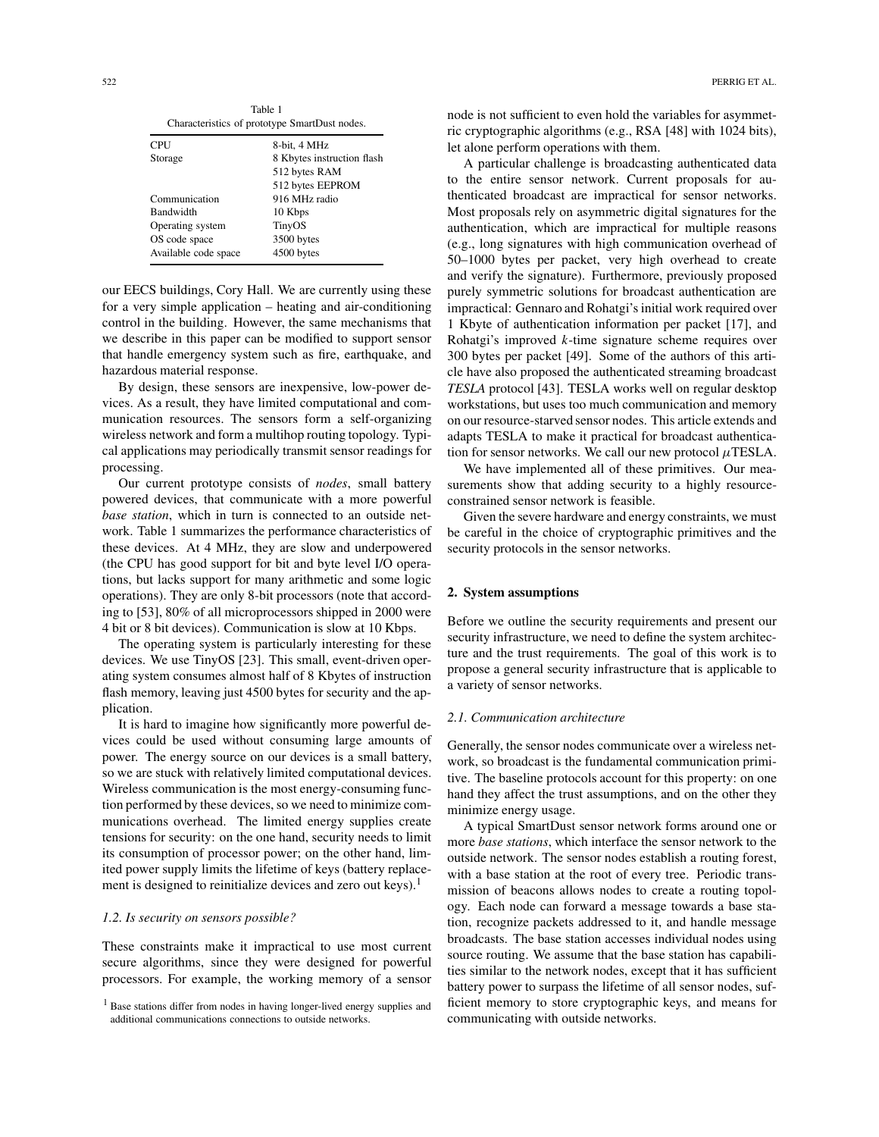|                                               | Table 1 |  |
|-----------------------------------------------|---------|--|
| Characteristics of prototype SmartDust nodes. |         |  |

| CPU                  | 8-bit, 4 MHz               |
|----------------------|----------------------------|
| Storage              | 8 Kbytes instruction flash |
|                      | 512 bytes RAM              |
|                      | 512 bytes EEPROM           |
| Communication        | 916 MHz radio              |
| Bandwidth            | 10 Kbps                    |
| Operating system     | TinyOS                     |
| OS code space        | 3500 bytes                 |
| Available code space | 4500 bytes                 |

our EECS buildings, Cory Hall. We are currently using these for a very simple application – heating and air-conditioning control in the building. However, the same mechanisms that we describe in this paper can be modified to support sensor that handle emergency system such as fire, earthquake, and hazardous material response.

By design, these sensors are inexpensive, low-power devices. As a result, they have limited computational and communication resources. The sensors form a self-organizing wireless network and form a multihop routing topology. Typical applications may periodically transmit sensor readings for processing.

Our current prototype consists of nodes, small battery powered devices, that communicate with a more powerful base station, which in turn is connected to an outside network. Table 1 summarizes the performance characteristics of these devices. At 4 MHz, they are slow and underpowered (the CPU has good support for bit and byte level I/O operations, but lacks support for many arithmetic and some logic operations). They are only 8-bit processors (note that according to [53], 80% of all microprocessors shipped in 2000 were 4 bit or 8 bit devices). Communication is slow at 10 Kbps.

The operating system is particularly interesting for these devices. We use TinyOS [23]. This small, event-driven operating system consumes almost half of 8 Kbytes of instruction flash memory, leaving just 4500 bytes for security and the application.

It is hard to imagine how significantly more powerful devices could be used without consuming large amounts of power. The energy source on our devices is a small battery, so we are stuck with relatively limited computational devices. Wireless communication is the most energy-consuming function performed by these devices, so we need to minimize communications overhead. The limited energy supplies create tensions for security: on the one hand, security needs to limit its consumption of processor power; on the other hand, limited power supply limits the lifetime of keys (battery replacement is designed to reinitialize devices and zero out keys).<sup>1</sup>

### 1.2. Is security on sensors possible?

These constraints make it impractical to use most current secure algorithms, since they were designed for powerful processors. For example, the working memory of a sensor

node is not sufficient to even hold the variables for asymmetric cryptographic algorithms (e.g., RSA [48] with 1024 bits), let alone perform operations with them.

A particular challenge is broadcasting authenticated data to the entire sensor network. Current proposals for authenticated broadcast are impractical for sensor networks. Most proposals rely on asymmetric digital signatures for the authentication, which are impractical for multiple reasons (e.g., long signatures with high communication overhead of 50–1000 bytes per packet, very high overhead to create and verify the signature). Furthermore, previously proposed purely symmetric solutions for broadcast authentication are impractical: Gennaro and Rohatgi's initial work required over 1 Kbyte of authentication information per packet [17], and Rohatgi's improved  $k$ -time signature scheme requires over 300 bytes per packet [49]. Some of the authors of this article have also proposed the authenticated streaming broadcast TESLA protocol [43]. TESLA works well on regular desktop workstations, but uses too much communication and memory on our resource-starved sensor nodes. This article extends and adapts TESLA to make it practical for broadcast authentication for sensor networks. We call our new protocol  $\mu$ TESLA.

We have implemented all of these primitives. Our measurements show that adding security to a highly resourceconstrained sensor network is feasible.

Given the severe hardware and energy constraints, we must be careful in the choice of cryptographic primitives and the security protocols in the sensor networks.

### 2. System assumptions

Before we outline the security requirements and present our security infrastructure, we need to define the system architecture and the trust requirements. The goal of this work is to propose a general security infrastructure that is applicable to a variety of sensor networks.

### 2.1. Communication architecture

Generally, the sensor nodes communicate over a wireless network, so broadcast is the fundamental communication primitive. The baseline protocols account for this property: on one hand they affect the trust assumptions, and on the other they minimize energy usage.

A typical SmartDust sensor network forms around one or more base stations, which interface the sensor network to the outside network. The sensor nodes establish a routing forest, with a base station at the root of every tree. Periodic transmission of beacons allows nodes to create a routing topology. Each node can forward a message towards a base station, recognize packets addressed to it, and handle message broadcasts. The base station accesses individual nodes using source routing. We assume that the base station has capabilities similar to the network nodes, except that it has sufficient battery power to surpass the lifetime of all sensor nodes, sufficient memory to store cryptographic keys, and means for communicating with outside networks.

<sup>&</sup>lt;sup>1</sup> Base stations differ from nodes in having longer-lived energy supplies and additional communications connections to outside networks.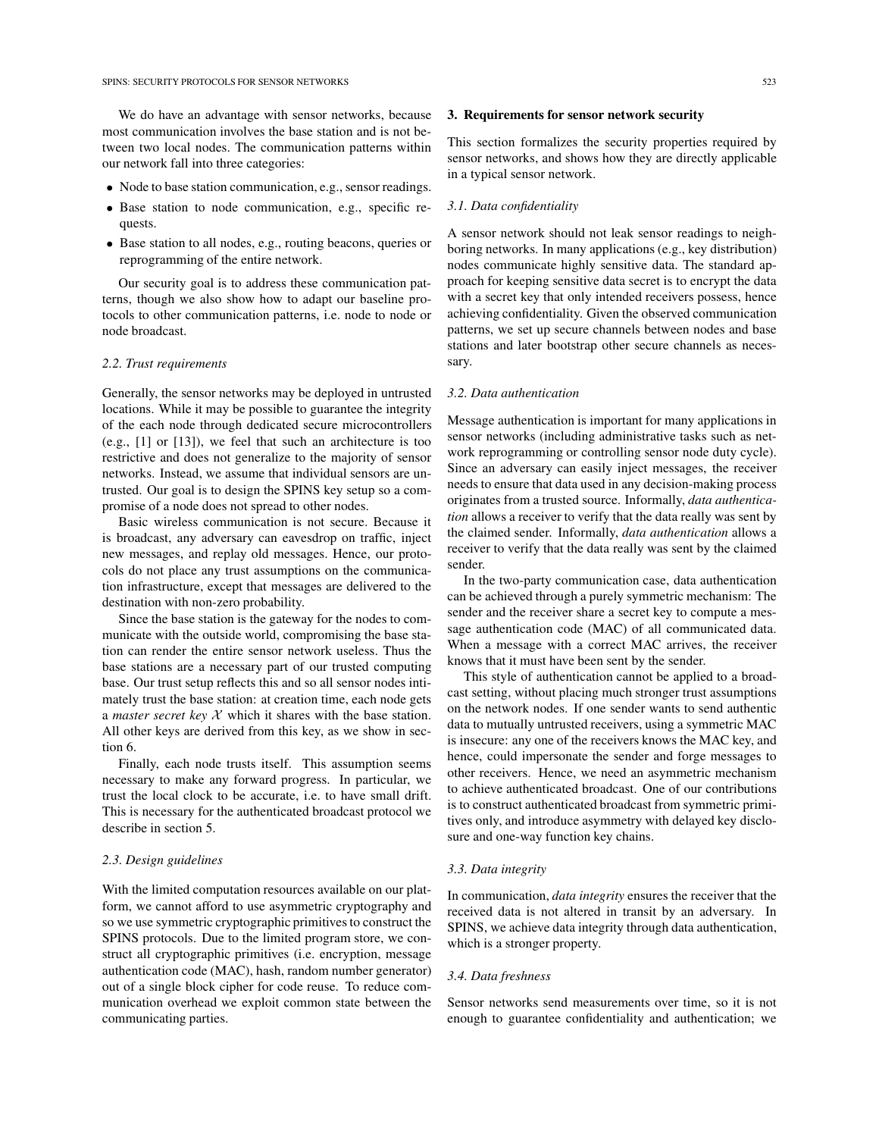We do have an advantage with sensor networks, because most communication involves the base station and is not between two local nodes. The communication patterns within our network fall into three categories:

- Node to base station communication, e.g., sensor readings.
- Base station to node communication, e.g., specific requests.
- Base station to all nodes, e.g., routing beacons, queries or reprogramming of the entire network.

Our security goal is to address these communication patterns, though we also show how to adapt our baseline protocols to other communication patterns, i.e. node to node or node broadcast.

### 2.2. Trust requirements

Generally, the sensor networks may be deployed in untrusted locations. While it may be possible to guarantee the integrity of the each node through dedicated secure microcontrollers (e.g., [1] or [13]), we feel that such an architecture is too restrictive and does not generalize to the majority of sensor networks. Instead, we assume that individual sensors are untrusted. Our goal is to design the SPINS key setup so a compromise of a node does not spread to other nodes.

Basic wireless communication is not secure. Because it is broadcast, any adversary can eavesdrop on traffic, inject new messages, and replay old messages. Hence, our protocols do not place any trust assumptions on the communication infrastructure, except that messages are delivered to the destination with non-zero probability.

Since the base station is the gateway for the nodes to communicate with the outside world, compromising the base station can render the entire sensor network useless. Thus the base stations are a necessary part of our trusted computing base. Our trust setup reflects this and so all sensor nodes intimately trust the base station: at creation time, each node gets a *master secret key*  $X$  which it shares with the base station. All other keys are derived from this key, as we show in section 6.

Finally, each node trusts itself. This assumption seems necessary to make any forward progress. In particular, we trust the local clock to be accurate, i.e. to have small drift. This is necessary for the authenticated broadcast protocol we describe in section 5.

### 2.3. Design guidelines

With the limited computation resources available on our platform, we cannot afford to use asymmetric cryptography and so we use symmetric cryptographic primitives to construct the SPINS protocols. Due to the limited program store, we construct all cryptographic primitives (i.e. encryption, message authentication code (MAC), hash, random number generator) out of a single block cipher for code reuse. To reduce communication overhead we exploit common state between the communicating parties.

### 3. Requirements for sensor network security

This section formalizes the security properties required by sensor networks, and shows how they are directly applicable in a typical sensor network.

### 3.1. Data confidentiality

A sensor network should not leak sensor readings to neighboring networks. In many applications (e.g., key distribution) nodes communicate highly sensitive data. The standard approach for keeping sensitive data secret is to encrypt the data with a secret key that only intended receivers possess, hence achieving confidentiality. Given the observed communication patterns, we set up secure channels between nodes and base stations and later bootstrap other secure channels as necessary.

# 3.2. Data authentication

Message authentication is important for many applications in sensor networks (including administrative tasks such as network reprogramming or controlling sensor node duty cycle). Since an adversary can easily inject messages, the receiver needs to ensure that data used in any decision-making process originates from a trusted source. Informally, data authentication allows a receiver to verify that the data really was sent by the claimed sender. Informally, data authentication allows a receiver to verify that the data really was sent by the claimed sender.

In the two-party communication case, data authentication can be achieved through a purely symmetric mechanism: The sender and the receiver share a secret key to compute a message authentication code (MAC) of all communicated data. When a message with a correct MAC arrives, the receiver knows that it must have been sent by the sender.

This style of authentication cannot be applied to a broadcast setting, without placing much stronger trust assumptions on the network nodes. If one sender wants to send authentic data to mutually untrusted receivers, using a symmetric MAC is insecure: any one of the receivers knows the MAC key, and hence, could impersonate the sender and forge messages to other receivers. Hence, we need an asymmetric mechanism to achieve authenticated broadcast. One of our contributions is to construct authenticated broadcast from symmetric primitives only, and introduce asymmetry with delayed key disclosure and one-way function key chains.

### 3.3. Data integrity

In communication, data integrity ensures the receiver that the received data is not altered in transit by an adversary. In SPINS, we achieve data integrity through data authentication, which is a stronger property.

# 3.4. Data freshness

Sensor networks send measurements over time, so it is not enough to guarantee confidentiality and authentication; we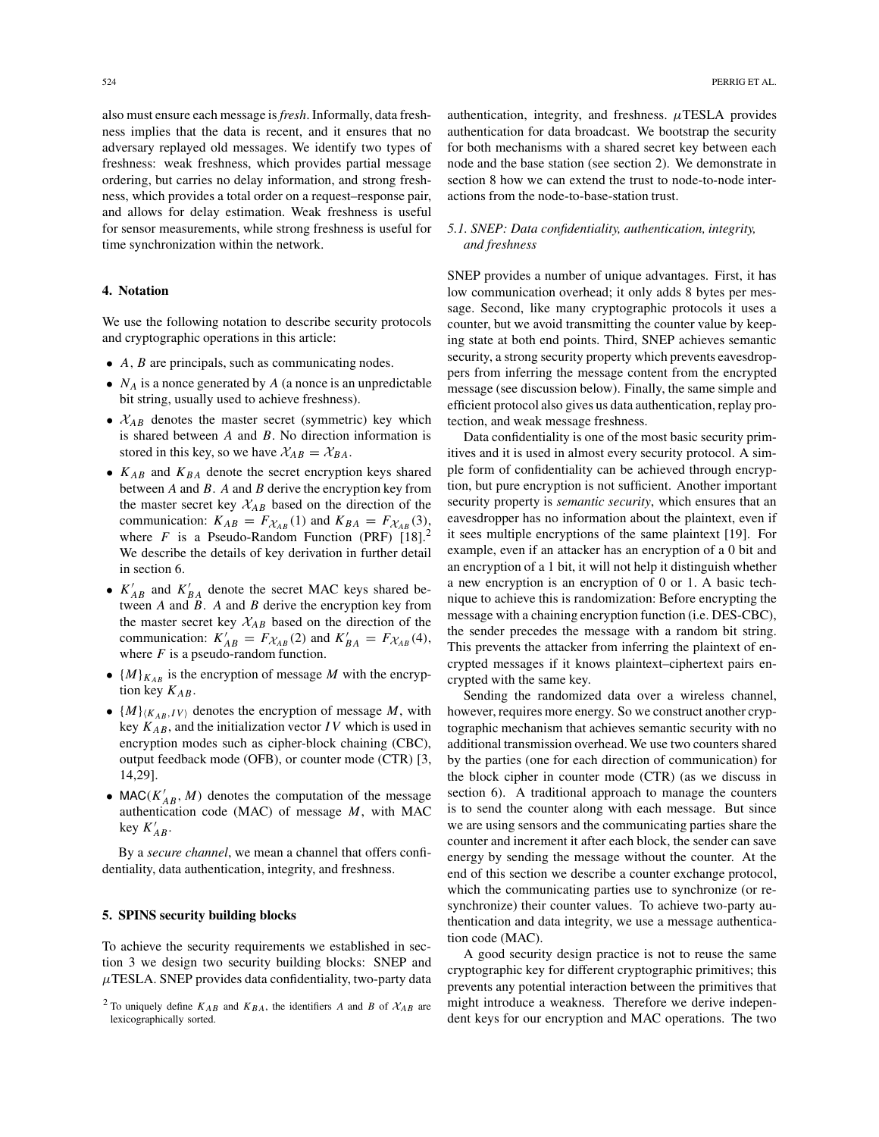also must ensure each message is fresh. Informally, data freshness implies that the data is recent, and it ensures that no adversary replayed old messages. We identify two types of freshness: weak freshness, which provides partial message ordering, but carries no delay information, and strong freshness, which provides a total order on a request–response pair, and allows for delay estimation. Weak freshness is useful for sensor measurements, while strong freshness is useful for time synchronization within the network.

### 4. Notation

We use the following notation to describe security protocols and cryptographic operations in this article:

- $\bullet$  A, B are principals, such as communicating nodes.
- $N_A$  is a nonce generated by A (a nonce is an unpredictable bit string, usually used to achieve freshness).
- $\mathcal{X}_{AB}$  denotes the master secret (symmetric) key which is shared between  $A$  and  $B$ . No direction information is stored in this key, so we have  $\mathcal{X}_{AB} = \mathcal{X}_{BA}$ .
- $K_{AB}$  and  $K_{BA}$  denote the secret encryption keys shared between  $A$  and  $B$ .  $A$  and  $B$  derive the encryption key from the master secret key  $\mathcal{X}_{AB}$  based on the direction of the communication:  $K_{AB} = F_{\mathcal{X}_{AB}}(1)$  and  $K_{BA} = F_{\mathcal{X}_{AB}}(3)$ , where  $F$  is a Pseudo-Random Function (PRF)  $\left[18\right]$ .<sup>2</sup> We describe the details of key derivation in further detail in section 6.
- $K'_{AB}$  and  $K'_{BA}$  denote the secret MAC keys shared between  $A$  and  $B$ .  $A$  and  $B$  derive the encryption key from the master secret key  $\mathcal{X}_{AB}$  based on the direction of the communication:  $K'_{AB} = F_{\mathcal{X}_{AB}}(2)$  and  $K'_{BA} = F_{\mathcal{X}_{AB}}(4)$ , where  $F$  is a pseudo-random function.
- $\{M\}_{K_{AB}}$  is the encryption of message M with the encryption key  $K_{AB}$ .
- $\{M\}_{\langle K_{AB},IV\rangle}$  denotes the encryption of message M, with key  $K_{AB}$ , and the initialization vector  $IV$  which is used in encryption modes such as cipher-block chaining (CBC), output feedback mode (OFB), or counter mode (CTR) [3, 14,29].
- MAC( $K'_{AB}$ , M) denotes the computation of the message authentication code (MAC) of message  $M$ , with MAC key  $K'_{AB}$ .

By a secure channel, we mean a channel that offers confidentiality, data authentication, integrity, and freshness.

# 5. SPINS security building blocks

To achieve the security requirements we established in section 3 we design two security building blocks: SNEP and  $\mu$ TESLA. SNEP provides data confidentiality, two-party data authentication, integrity, and freshness.  $\mu$ TESLA provides authentication for data broadcast. We bootstrap the security for both mechanisms with a shared secret key between each node and the base station (see section 2). We demonstrate in section 8 how we can extend the trust to node-to-node interactions from the node-to-base-station trust.

# 5.1. SNEP: Data confidentiality, authentication, integrity, and freshness

SNEP provides a number of unique advantages. First, it has low communication overhead; it only adds 8 bytes per message. Second, like many cryptographic protocols it uses a counter, but we avoid transmitting the counter value by keeping state at both end points. Third, SNEP achieves semantic security, a strong security property which prevents eavesdroppers from inferring the message content from the encrypted message (see discussion below). Finally, the same simple and efficient protocol also gives us data authentication, replay protection, and weak message freshness.

Data confidentiality is one of the most basic security primitives and it is used in almost every security protocol. A simple form of confidentiality can be achieved through encryption, but pure encryption is not sufficient. Another important security property is *semantic security*, which ensures that an eavesdropper has no information about the plaintext, even if it sees multiple encryptions of the same plaintext [19]. For example, even if an attacker has an encryption of a 0 bit and an encryption of a 1 bit, it will not help it distinguish whether a new encryption is an encryption of 0 or 1. A basic technique to achieve this is randomization: Before encrypting the message with a chaining encryption function (i.e. DES-CBC), the sender precedes the message with a random bit string. This prevents the attacker from inferring the plaintext of encrypted messages if it knows plaintext–ciphertext pairs encrypted with the same key.

Sending the randomized data over a wireless channel, however, requires more energy. So we construct another cryptographic mechanism that achieves semantic security with no additional transmission overhead. We use two counters shared by the parties (one for each direction of communication) for the block cipher in counter mode (CTR) (as we discuss in section 6). A traditional approach to manage the counters is to send the counter along with each message. But since we are using sensors and the communicating parties share the counter and increment it after each block, the sender can save energy by sending the message without the counter. At the end of this section we describe a counter exchange protocol, which the communicating parties use to synchronize (or resynchronize) their counter values. To achieve two-party authentication and data integrity, we use a message authentication code (MAC).

A good security design practice is not to reuse the same cryptographic key for different cryptographic primitives; this prevents any potential interaction between the primitives that might introduce a weakness. Therefore we derive independent keys for our encryption and MAC operations. The two

<sup>&</sup>lt;sup>2</sup> To uniquely define  $K_{AB}$  and  $K_{BA}$ , the identifiers A and B of  $\mathcal{X}_{AB}$  are lexicographically sorted.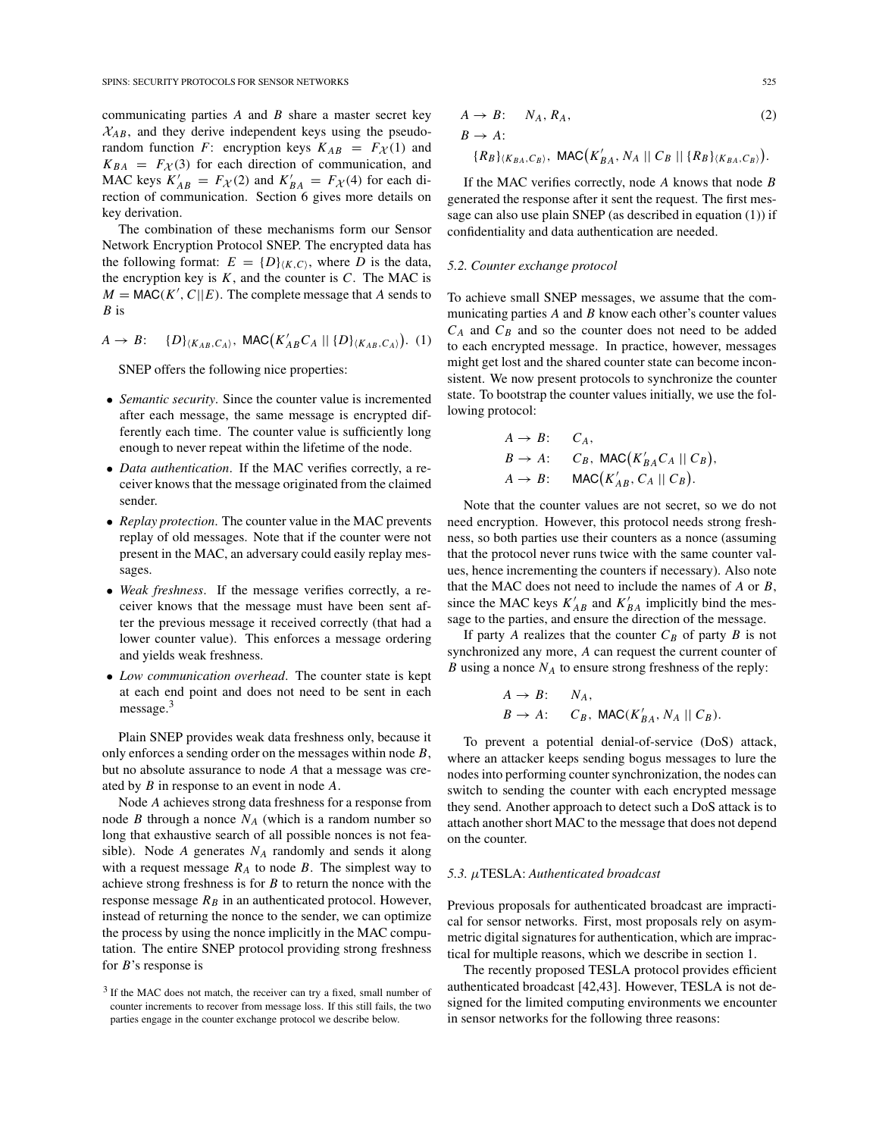communicating parties  $A$  and  $B$  share a master secret key  $X_{AB}$ , and they derive independent keys using the pseudorandom function F: encryption keys  $K_{AB} = F_{\mathcal{X}}(1)$  and  $K_{BA} = F_{\mathcal{X}}(3)$  for each direction of communication, and MAC keys  $K'_{AB} = F_{\mathcal{X}}(2)$  and  $K'_{BA} = F_{\mathcal{X}}(4)$  for each direction of communication. Section 6 gives more details on key derivation.

The combination of these mechanisms form our Sensor Network Encryption Protocol SNEP. The encrypted data has the following format:  $E = \{D\}_{\langle K, C \rangle}$ , where D is the data, the encryption key is  $K$ , and the counter is  $C$ . The MAC is  $M = MAC(K', C||E)$ . The complete message that A sends to B is

$$
A \to B: \quad \{D\}_{\langle K_{AB}, C_A \rangle}, \ \text{MAC}\big(K'_{AB} C_A \mid \vert \{D\}_{\langle K_{AB}, C_A \rangle}\big).
$$
 (1)

SNEP offers the following nice properties:

- Semantic security. Since the counter value is incremented after each message, the same message is encrypted differently each time. The counter value is sufficiently long enough to never repeat within the lifetime of the node.
- Data authentication. If the MAC verifies correctly, a receiver knowsthat the message originated from the claimed sender.
- Replay protection. The counter value in the MAC prevents replay of old messages. Note that if the counter were not present in the MAC, an adversary could easily replay messages.
- Weak freshness. If the message verifies correctly, a receiver knows that the message must have been sent after the previous message it received correctly (that had a lower counter value). This enforces a message ordering and yields weak freshness.
- Low communication overhead. The counter state is kept at each end point and does not need to be sent in each message.<sup>3</sup>

Plain SNEP provides weak data freshness only, because it only enforces a sending order on the messages within node B, but no absolute assurance to node A that a message was created by B in response to an event in node A.

Node A achieves strong data freshness for a response from node B through a nonce  $N_A$  (which is a random number so long that exhaustive search of all possible nonces is not feasible). Node A generates  $N_A$  randomly and sends it along with a request message  $R_A$  to node  $B$ . The simplest way to achieve strong freshness is for  $B$  to return the nonce with the response message  $R_B$  in an authenticated protocol. However, instead of returning the nonce to the sender, we can optimize the process by using the nonce implicitly in the MAC computation. The entire SNEP protocol providing strong freshness for B's response is

$$
A \rightarrow B: N_A, R_A,
$$
\n
$$
B \rightarrow A:
$$
\n
$$
\{R_B\}_{\langle K_{BA}, C_B \rangle}, \text{MAC}(K'_{BA}, N_A || C_B || \{R_B\}_{\langle K_{BA}, C_B \rangle}).
$$
\n
$$
(2)
$$

If the MAC verifies correctly, node  $A$  knows that node  $B$ generated the response after it sent the request. The first message can also use plain SNEP (as described in equation (1)) if confidentiality and data authentication are needed.

# 5.2. Counter exchange protocol

To achieve small SNEP messages, we assume that the communicating parties  $A$  and  $B$  know each other's counter values  $C_A$  and  $C_B$  and so the counter does not need to be added to each encrypted message. In practice, however, messages might get lost and the shared counter state can become inconsistent. We now present protocols to synchronize the counter state. To bootstrap the counter values initially, we use the following protocol:

$$
A \rightarrow B: \quad C_A,
$$
  
\n
$$
B \rightarrow A: \quad C_B, \quad \text{MAC}(K'_{BA}C_A \mid C_B),
$$
  
\n
$$
A \rightarrow B: \quad \text{MAC}(K'_{AB}, C_A \mid C_B).
$$

Note that the counter values are not secret, so we do not need encryption. However, this protocol needs strong freshness, so both parties use their counters as a nonce (assuming that the protocol never runs twice with the same counter values, hence incrementing the counters if necessary). Also note that the MAC does not need to include the names of  $A$  or  $B$ , since the MAC keys  $K'_{AB}$  and  $K'_{BA}$  implicitly bind the message to the parties, and ensure the direction of the message.

If party A realizes that the counter  $C_B$  of party B is not synchronized any more, A can request the current counter of B using a nonce  $N_A$  to ensure strong freshness of the reply:

$$
A \rightarrow B: \quad N_A,
$$
  

$$
B \rightarrow A: \quad C_B, \text{MAC}(K'_{BA}, N_A || C_B).
$$

To prevent a potential denial-of-service (DoS) attack, where an attacker keeps sending bogus messages to lure the nodes into performing counter synchronization, the nodes can switch to sending the counter with each encrypted message they send. Another approach to detect such a DoS attack is to attach another short MAC to the message that does not depend on the counter.

### 5.3. µTESLA: Authenticated broadcast

Previous proposals for authenticated broadcast are impractical for sensor networks. First, most proposals rely on asymmetric digital signatures for authentication, which are impractical for multiple reasons, which we describe in section 1.

The recently proposed TESLA protocol provides efficient authenticated broadcast [42,43]. However, TESLA is not designed for the limited computing environments we encounter in sensor networks for the following three reasons:

<sup>&</sup>lt;sup>3</sup> If the MAC does not match, the receiver can try a fixed, small number of counter increments to recover from message loss. If this still fails, the two parties engage in the counter exchange protocol we describe below.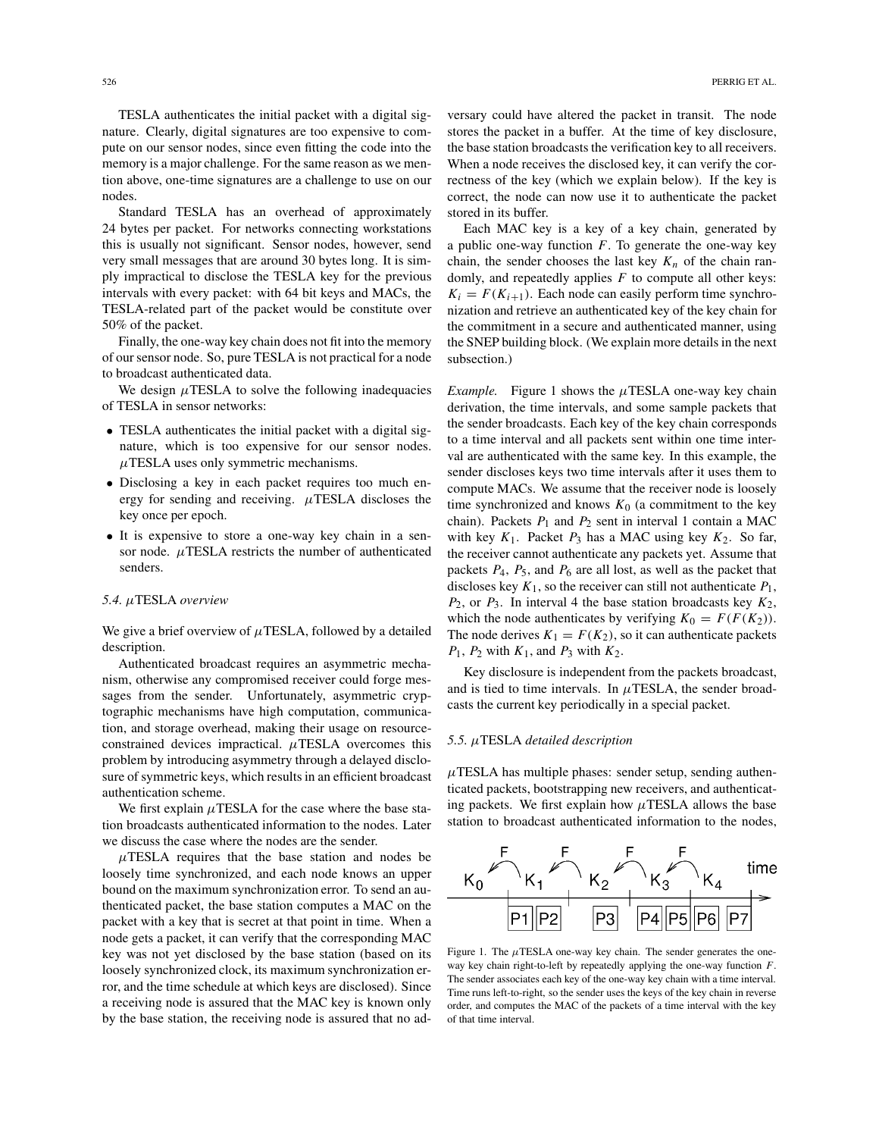TESLA authenticates the initial packet with a digital signature. Clearly, digital signatures are too expensive to compute on our sensor nodes, since even fitting the code into the memory is a major challenge. For the same reason as we mention above, one-time signatures are a challenge to use on our nodes.

Standard TESLA has an overhead of approximately 24 bytes per packet. For networks connecting workstations this is usually not significant. Sensor nodes, however, send very small messages that are around 30 bytes long. It is simply impractical to disclose the TESLA key for the previous intervals with every packet: with 64 bit keys and MACs, the TESLA-related part of the packet would be constitute over 50% of the packet.

Finally, the one-way key chain does not fit into the memory of oursensor node. So, pure TESLA is not practical for a node to broadcast authenticated data.

We design  $\mu$ TESLA to solve the following inadequacies of TESLA in sensor networks:

- TESLA authenticates the initial packet with a digital signature, which is too expensive for our sensor nodes.  $\mu$ TESLA uses only symmetric mechanisms.
- Disclosing a key in each packet requires too much energy for sending and receiving.  $\mu$ TESLA discloses the key once per epoch.
- It is expensive to store a one-way key chain in a sensor node.  $\mu$ TESLA restricts the number of authenticated senders.

### 5.4. µTESLA overview

We give a brief overview of  $\mu$ TESLA, followed by a detailed description.

Authenticated broadcast requires an asymmetric mechanism, otherwise any compromised receiver could forge messages from the sender. Unfortunately, asymmetric cryptographic mechanisms have high computation, communication, and storage overhead, making their usage on resourceconstrained devices impractical.  $\mu$ TESLA overcomes this problem by introducing asymmetry through a delayed disclosure of symmetric keys, which results in an efficient broadcast authentication scheme.

We first explain  $\mu$ TESLA for the case where the base station broadcasts authenticated information to the nodes. Later we discuss the case where the nodes are the sender.

 $\mu$ TESLA requires that the base station and nodes be loosely time synchronized, and each node knows an upper bound on the maximum synchronization error. To send an authenticated packet, the base station computes a MAC on the packet with a key that is secret at that point in time. When a node gets a packet, it can verify that the corresponding MAC key was not yet disclosed by the base station (based on its loosely synchronized clock, its maximum synchronization error, and the time schedule at which keys are disclosed). Since a receiving node is assured that the MAC key is known only by the base station, the receiving node is assured that no ad-

versary could have altered the packet in transit. The node stores the packet in a buffer. At the time of key disclosure, the base station broadcasts the verification key to all receivers. When a node receives the disclosed key, it can verify the correctness of the key (which we explain below). If the key is correct, the node can now use it to authenticate the packet stored in its buffer.

Each MAC key is a key of a key chain, generated by a public one-way function  $F$ . To generate the one-way key chain, the sender chooses the last key  $K_n$  of the chain randomly, and repeatedly applies  $F$  to compute all other keys:  $K_i = F(K_{i+1})$ . Each node can easily perform time synchronization and retrieve an authenticated key of the key chain for the commitment in a secure and authenticated manner, using the SNEP building block. (We explain more details in the next subsection.)

*Example.* Figure 1 shows the  $\mu$ TESLA one-way key chain derivation, the time intervals, and some sample packets that the sender broadcasts. Each key of the key chain corresponds to a time interval and all packets sent within one time interval are authenticated with the same key. In this example, the sender discloses keys two time intervals after it uses them to compute MACs. We assume that the receiver node is loosely time synchronized and knows  $K_0$  (a commitment to the key chain). Packets  $P_1$  and  $P_2$  sent in interval 1 contain a MAC with key  $K_1$ . Packet  $P_3$  has a MAC using key  $K_2$ . So far, the receiver cannot authenticate any packets yet. Assume that packets  $P_4$ ,  $P_5$ , and  $P_6$  are all lost, as well as the packet that discloses key  $K_1$ , so the receiver can still not authenticate  $P_1$ ,  $P_2$ , or  $P_3$ . In interval 4 the base station broadcasts key  $K_2$ , which the node authenticates by verifying  $K_0 = F(F(K_2))$ . The node derives  $K_1 = F(K_2)$ , so it can authenticate packets  $P_1$ ,  $P_2$  with  $K_1$ , and  $P_3$  with  $K_2$ .

Key disclosure is independent from the packets broadcast, and is tied to time intervals. In  $\mu$ TESLA, the sender broadcasts the current key periodically in a special packet.

### 5.5. µTESLA detailed description

 $\mu$ TESLA has multiple phases: sender setup, sending authenticated packets, bootstrapping new receivers, and authenticating packets. We first explain how  $\mu$ TESLA allows the base station to broadcast authenticated information to the nodes,



Figure 1. The  $\mu$ TESLA one-way key chain. The sender generates the oneway key chain right-to-left by repeatedly applying the one-way function  $F$ . The sender associates each key of the one-way key chain with a time interval. Time runs left-to-right, so the sender uses the keys of the key chain in reverse order, and computes the MAC of the packets of a time interval with the key of that time interval.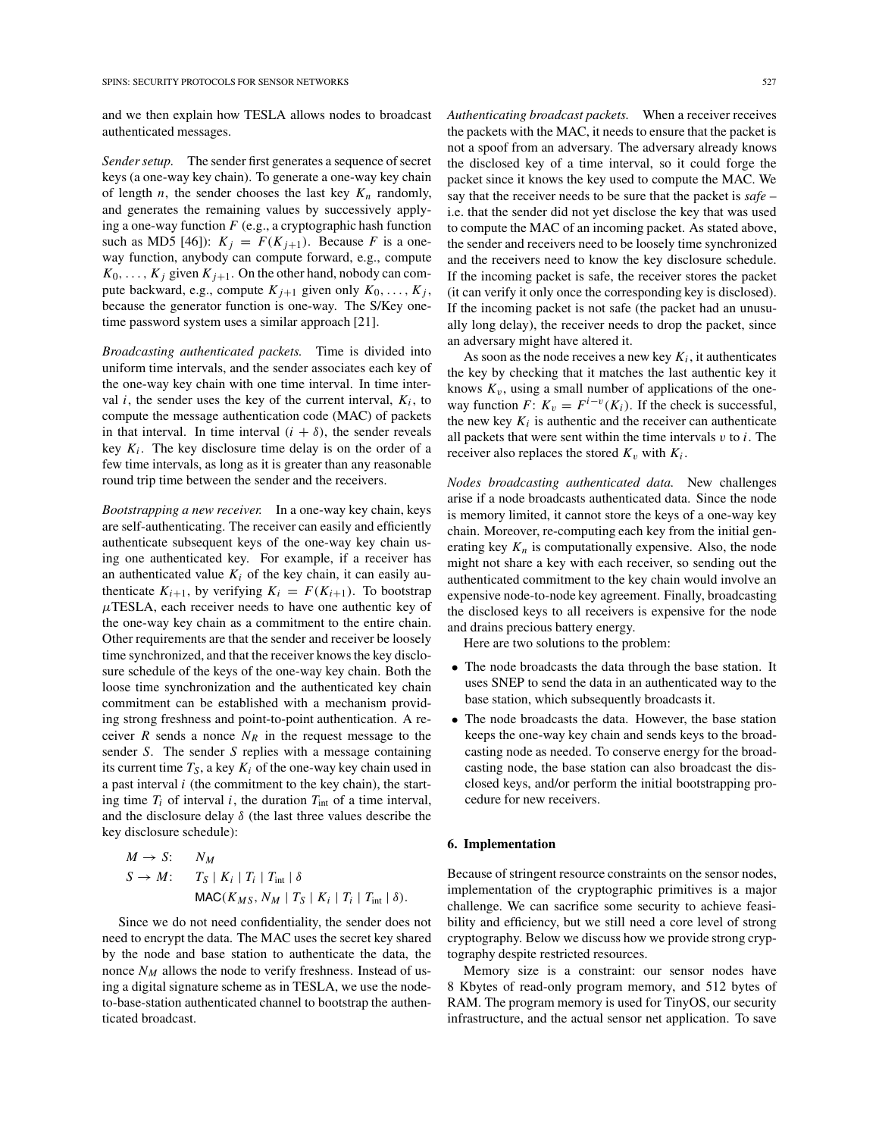and we then explain how TESLA allows nodes to broadcast authenticated messages.

Sender setup. The sender first generates a sequence of secret keys (a one-way key chain). To generate a one-way key chain of length *n*, the sender chooses the last key  $K_n$  randomly, and generates the remaining values by successively applying a one-way function  $F$  (e.g., a cryptographic hash function such as MD5 [46]):  $K_i = F(K_{i+1})$ . Because F is a oneway function, anybody can compute forward, e.g., compute  $K_0, \ldots, K_j$  given  $K_{j+1}$ . On the other hand, nobody can compute backward, e.g., compute  $K_{j+1}$  given only  $K_0, \ldots, K_j$ , because the generator function is one-way. The S/Key onetime password system uses a similar approach [21].

Broadcasting authenticated packets. Time is divided into uniform time intervals, and the sender associates each key of the one-way key chain with one time interval. In time interval  $i$ , the sender uses the key of the current interval,  $K_i$ , to compute the message authentication code (MAC) of packets in that interval. In time interval  $(i + \delta)$ , the sender reveals key  $K_i$ . The key disclosure time delay is on the order of a few time intervals, as long as it is greater than any reasonable round trip time between the sender and the receivers.

Bootstrapping a new receiver. In a one-way key chain, keys are self-authenticating. The receiver can easily and efficiently authenticate subsequent keys of the one-way key chain using one authenticated key. For example, if a receiver has an authenticated value  $K_i$  of the key chain, it can easily authenticate  $K_{i+1}$ , by verifying  $K_i = F(K_{i+1})$ . To bootstrap  $\mu$ TESLA, each receiver needs to have one authentic key of the one-way key chain as a commitment to the entire chain. Other requirements are that the sender and receiver be loosely time synchronized, and that the receiver knows the key disclosure schedule of the keys of the one-way key chain. Both the loose time synchronization and the authenticated key chain commitment can be established with a mechanism providing strong freshness and point-to-point authentication. A receiver R sends a nonce  $N_R$  in the request message to the sender S. The sender S replies with a message containing its current time  $T<sub>S</sub>$ , a key  $K<sub>i</sub>$  of the one-way key chain used in a past interval  $i$  (the commitment to the key chain), the starting time  $T_i$  of interval i, the duration  $T_{int}$  of a time interval, and the disclosure delay  $\delta$  (the last three values describe the key disclosure schedule):

$$
M \rightarrow S: \qquad N_M
$$
  
\n
$$
S \rightarrow M: \qquad T_S \mid K_i \mid T_i \mid T_{\text{int}} \mid \delta
$$
  
\n
$$
\text{MAC}(K_{MS}, N_M \mid T_S \mid K_i \mid T_i \mid T_{\text{int}} \mid \delta).
$$

Since we do not need confidentiality, the sender does not need to encrypt the data. The MAC uses the secret key shared by the node and base station to authenticate the data, the nonce  $N_M$  allows the node to verify freshness. Instead of using a digital signature scheme as in TESLA, we use the nodeto-base-station authenticated channel to bootstrap the authenticated broadcast.

Authenticating broadcast packets. When a receiver receives the packets with the MAC, it needs to ensure that the packet is not a spoof from an adversary. The adversary already knows the disclosed key of a time interval, so it could forge the packet since it knows the key used to compute the MAC. We say that the receiver needs to be sure that the packet is safe i.e. that the sender did not yet disclose the key that was used to compute the MAC of an incoming packet. As stated above, the sender and receivers need to be loosely time synchronized and the receivers need to know the key disclosure schedule. If the incoming packet is safe, the receiver stores the packet (it can verify it only once the corresponding key is disclosed). If the incoming packet is not safe (the packet had an unusually long delay), the receiver needs to drop the packet, since an adversary might have altered it.

As soon as the node receives a new key  $K_i$ , it authenticates the key by checking that it matches the last authentic key it knows  $K_v$ , using a small number of applications of the oneway function  $F: K_v = F^{i-v}(K_i)$ . If the check is successful, the new key  $K_i$  is authentic and the receiver can authenticate all packets that were sent within the time intervals  $v$  to  $i$ . The receiver also replaces the stored  $K_v$  with  $K_i$ .

Nodes broadcasting authenticated data. New challenges arise if a node broadcasts authenticated data. Since the node is memory limited, it cannot store the keys of a one-way key chain. Moreover, re-computing each key from the initial generating key  $K_n$  is computationally expensive. Also, the node might not share a key with each receiver, so sending out the authenticated commitment to the key chain would involve an expensive node-to-node key agreement. Finally, broadcasting the disclosed keys to all receivers is expensive for the node and drains precious battery energy.

Here are two solutions to the problem:

- The node broadcasts the data through the base station. It uses SNEP to send the data in an authenticated way to the base station, which subsequently broadcasts it.
- The node broadcasts the data. However, the base station keeps the one-way key chain and sends keys to the broadcasting node as needed. To conserve energy for the broadcasting node, the base station can also broadcast the disclosed keys, and/or perform the initial bootstrapping procedure for new receivers.

# 6. Implementation

Because of stringent resource constraints on the sensor nodes, implementation of the cryptographic primitives is a major challenge. We can sacrifice some security to achieve feasibility and efficiency, but we still need a core level of strong cryptography. Below we discuss how we provide strong cryptography despite restricted resources.

Memory size is a constraint: our sensor nodes have 8 Kbytes of read-only program memory, and 512 bytes of RAM. The program memory is used for TinyOS, our security infrastructure, and the actual sensor net application. To save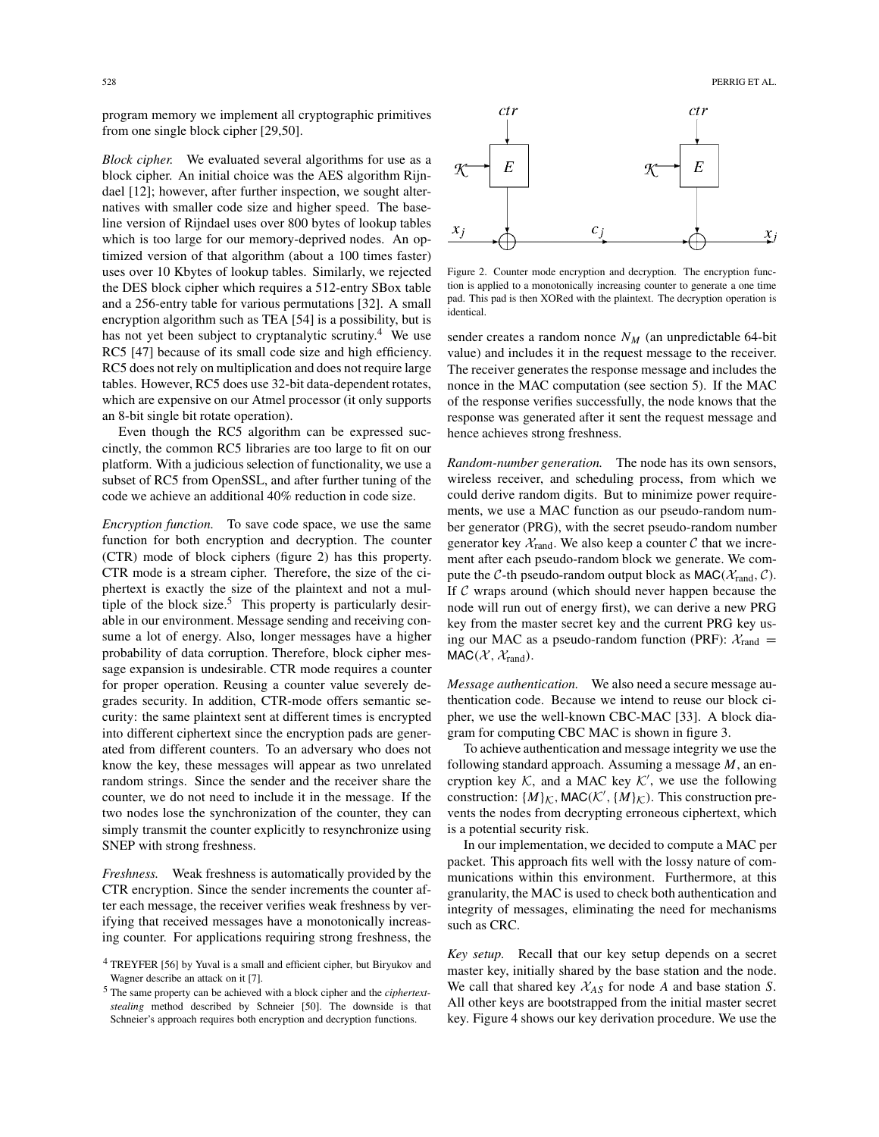program memory we implement all cryptographic primitives from one single block cipher [29,50].

Block cipher. We evaluated several algorithms for use as a block cipher. An initial choice was the AES algorithm Rijndael [12]; however, after further inspection, we sought alternatives with smaller code size and higher speed. The baseline version of Rijndael uses over 800 bytes of lookup tables which is too large for our memory-deprived nodes. An optimized version of that algorithm (about a 100 times faster) uses over 10 Kbytes of lookup tables. Similarly, we rejected the DES block cipher which requires a 512-entry SBox table and a 256-entry table for various permutations [32]. A small encryption algorithm such as TEA [54] is a possibility, but is has not yet been subject to cryptanalytic scrutiny.<sup>4</sup> We use RC5 [47] because of its small code size and high efficiency. RC5 does not rely on multiplication and does not require large tables. However, RC5 does use 32-bit data-dependent rotates, which are expensive on our Atmel processor (it only supports an 8-bit single bit rotate operation).

Even though the RC5 algorithm can be expressed succinctly, the common RC5 libraries are too large to fit on our platform. With a judicious selection of functionality, we use a subset of RC5 from OpenSSL, and after further tuning of the code we achieve an additional 40% reduction in code size.

Encryption function. To save code space, we use the same function for both encryption and decryption. The counter (CTR) mode of block ciphers (figure 2) has this property. CTR mode is a stream cipher. Therefore, the size of the ciphertext is exactly the size of the plaintext and not a multiple of the block size.<sup>5</sup> This property is particularly desirable in our environment. Message sending and receiving consume a lot of energy. Also, longer messages have a higher probability of data corruption. Therefore, block cipher message expansion is undesirable. CTR mode requires a counter for proper operation. Reusing a counter value severely degrades security. In addition, CTR-mode offers semantic security: the same plaintext sent at different times is encrypted into different ciphertext since the encryption pads are generated from different counters. To an adversary who does not know the key, these messages will appear as two unrelated random strings. Since the sender and the receiver share the counter, we do not need to include it in the message. If the two nodes lose the synchronization of the counter, they can simply transmit the counter explicitly to resynchronize using SNEP with strong freshness.

Freshness. Weak freshness is automatically provided by the CTR encryption. Since the sender increments the counter after each message, the receiver verifies weak freshness by verifying that received messages have a monotonically increasing counter. For applications requiring strong freshness, the



Figure 2. Counter mode encryption and decryption. The encryption function is applied to a monotonically increasing counter to generate a one time pad. This pad is then XORed with the plaintext. The decryption operation is identical.

sender creates a random nonce  $N_M$  (an unpredictable 64-bit value) and includes it in the request message to the receiver. The receiver generates the response message and includes the nonce in the MAC computation (see section 5). If the MAC of the response verifies successfully, the node knows that the response was generated after it sent the request message and hence achieves strong freshness.

Random-number generation. The node has its own sensors, wireless receiver, and scheduling process, from which we could derive random digits. But to minimize power requirements, we use a MAC function as our pseudo-random number generator (PRG), with the secret pseudo-random number generator key  $\mathcal{X}_{\text{rand}}$ . We also keep a counter  $\mathcal C$  that we increment after each pseudo-random block we generate. We compute the C-th pseudo-random output block as  $MAC(\mathcal{X}_{rand}, \mathcal{C})$ . If  $C$  wraps around (which should never happen because the node will run out of energy first), we can derive a new PRG key from the master secret key and the current PRG key using our MAC as a pseudo-random function (PRF):  $X_{rand}$  =  $MAC(X, \mathcal{X}_{rand}).$ 

Message authentication. We also need a secure message authentication code. Because we intend to reuse our block cipher, we use the well-known CBC-MAC [33]. A block diagram for computing CBC MAC is shown in figure 3.

To achieve authentication and message integrity we use the following standard approach. Assuming a message  $M$ , an encryption key  $K$ , and a MAC key  $K'$ , we use the following construction:  $\{M\}_{\mathcal{K}}$ , MAC( $\mathcal{K}'$ ,  $\{M\}_{\mathcal{K}}$ ). This construction prevents the nodes from decrypting erroneous ciphertext, which is a potential security risk.

In our implementation, we decided to compute a MAC per packet. This approach fits well with the lossy nature of communications within this environment. Furthermore, at this granularity, the MAC is used to check both authentication and integrity of messages, eliminating the need for mechanisms such as CRC.

Key setup. Recall that our key setup depends on a secret master key, initially shared by the base station and the node. We call that shared key  $X_{AS}$  for node A and base station S. All other keys are bootstrapped from the initial master secret key. Figure 4 shows our key derivation procedure. We use the

<sup>4</sup> TREYFER [56] by Yuval is a small and efficient cipher, but Biryukov and Wagner describe an attack on it [7].

<sup>&</sup>lt;sup>5</sup> The same property can be achieved with a block cipher and the *ciphertext*stealing method described by Schneier [50]. The downside is that Schneier's approach requires both encryption and decryption functions.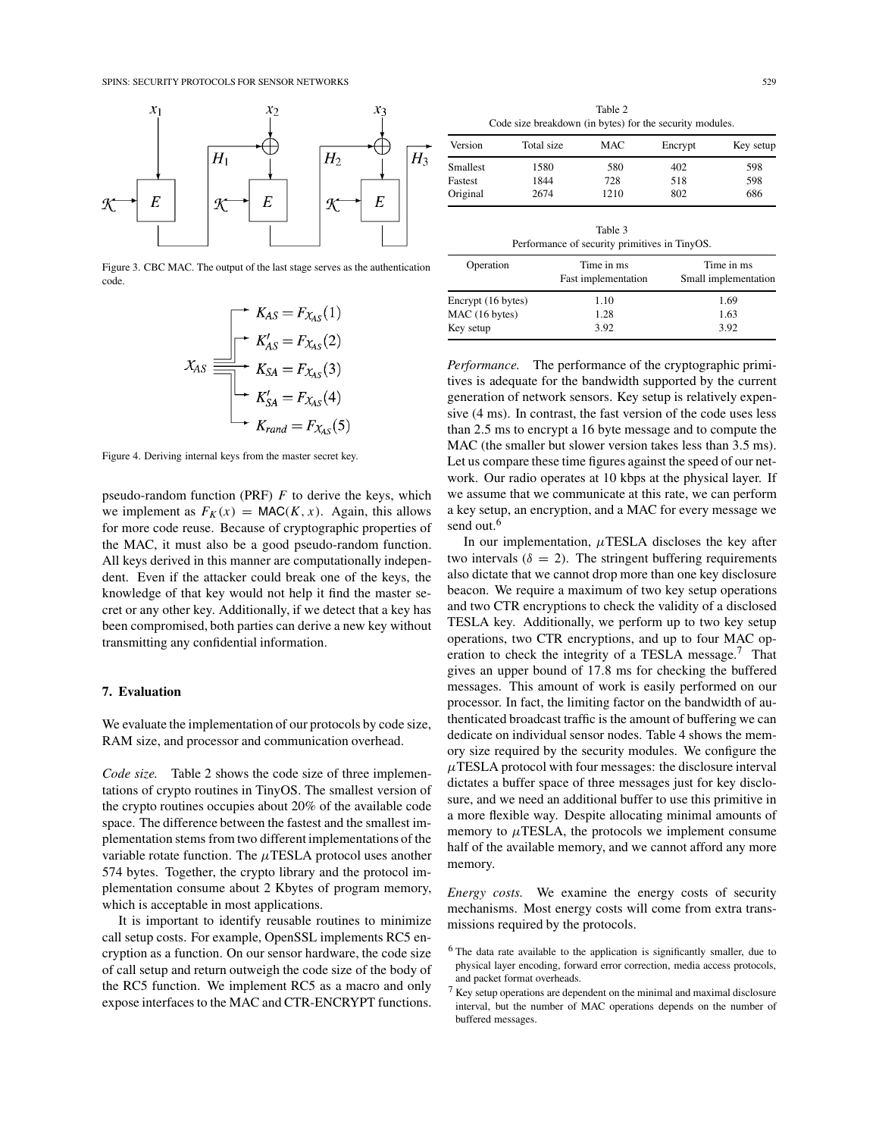

Figure 3. CBC MAC. The output of the last stage serves as the authentication code.

$$
X_{AS} = F_{X_{AS}}(1)
$$
\n
$$
X_{AS} = F_{X_{AS}}(2)
$$
\n
$$
K_{AS} = F_{X_{AS}}(3)
$$
\n
$$
K_{SA} = F_{X_{AS}}(3)
$$
\n
$$
K_{SA} = F_{X_{AS}}(4)
$$
\n
$$
K_{rand} = F_{X_{AS}}(5)
$$

Figure 4. Deriving internal keys from the master secret key.

pseudo-random function (PRF)  $F$  to derive the keys, which we implement as  $F_K(x) = \text{MAC}(K, x)$ . Again, this allows for more code reuse. Because of cryptographic properties of the MAC, it must also be a good pseudo-random function. All keys derived in this manner are computationally independent. Even if the attacker could break one of the keys, the knowledge of that key would not help it find the master secret or any other key. Additionally, if we detect that a key has been compromised, both parties can derive a new key without transmitting any confidential information.

### 7. Evaluation

We evaluate the implementation of our protocols by code size, RAM size, and processor and communication overhead.

Code size. Table 2 shows the code size of three implementations of crypto routines in TinyOS. The smallest version of the crypto routines occupies about 20% of the available code space. The difference between the fastest and the smallest implementation stems from two different implementations of the variable rotate function. The  $\mu$ TESLA protocol uses another 574 bytes. Together, the crypto library and the protocol implementation consume about 2 Kbytes of program memory, which is acceptable in most applications.

It is important to identify reusable routines to minimize call setup costs. For example, OpenSSL implements RC5 encryption as a function. On our sensor hardware, the code size of call setup and return outweigh the code size of the body of the RC5 function. We implement RC5 as a macro and only expose interfaces to the MAC and CTR-ENCRYPT functions.

Table 2 Code size breakdown (in bytes) for the security modules.

| Version  | Total size | MAC  | Encrypt | Key setup |
|----------|------------|------|---------|-----------|
| Smallest | 1580       | 580  | 402     | 598       |
| Fastest  | 1844       | 728  | 518     | 598       |
| Original | 2674       | 1210 | 802     | 686       |

| Table 3                                       |  |
|-----------------------------------------------|--|
| Performance of security primitives in TinyOS. |  |

| Operation          | Time in ms<br>Fast implementation | Time in ms<br>Small implementation |
|--------------------|-----------------------------------|------------------------------------|
| Encrypt (16 bytes) | 1.10                              | 1.69                               |
| MAC (16 bytes)     | 1.28                              | 1.63                               |
| Key setup          | 3.92                              | 3.92                               |

Performance. The performance of the cryptographic primitives is adequate for the bandwidth supported by the current generation of network sensors. Key setup is relatively expensive (4 ms). In contrast, the fast version of the code uses less than 2.5 ms to encrypt a 16 byte message and to compute the MAC (the smaller but slower version takes less than 3.5 ms). Let us compare these time figures against the speed of our network. Our radio operates at 10 kbps at the physical layer. If we assume that we communicate at this rate, we can perform a key setup, an encryption, and a MAC for every message we send out. 6

In our implementation,  $\mu$ TESLA discloses the key after two intervals ( $\delta = 2$ ). The stringent buffering requirements also dictate that we cannot drop more than one key disclosure beacon. We require a maximum of two key setup operations and two CTR encryptions to check the validity of a disclosed TESLA key. Additionally, we perform up to two key setup operations, two CTR encryptions, and up to four MAC operation to check the integrity of a TESLA message.<sup>7</sup> That gives an upper bound of 17.8 ms for checking the buffered messages. This amount of work is easily performed on our processor. In fact, the limiting factor on the bandwidth of authenticated broadcast traffic is the amount of buffering we can dedicate on individual sensor nodes. Table 4 shows the memory size required by the security modules. We configure the  $\mu$ TESLA protocol with four messages: the disclosure interval dictates a buffer space of three messages just for key disclosure, and we need an additional buffer to use this primitive in a more flexible way. Despite allocating minimal amounts of memory to  $\mu$ TESLA, the protocols we implement consume half of the available memory, and we cannot afford any more memory.

Energy costs. We examine the energy costs of security mechanisms. Most energy costs will come from extra transmissions required by the protocols.

- <sup>6</sup> The data rate available to the application is significantly smaller, due to physical layer encoding, forward error correction, media access protocols, and packet format overheads.
- $7$  Key setup operations are dependent on the minimal and maximal disclosure interval, but the number of MAC operations depends on the number of buffered messages.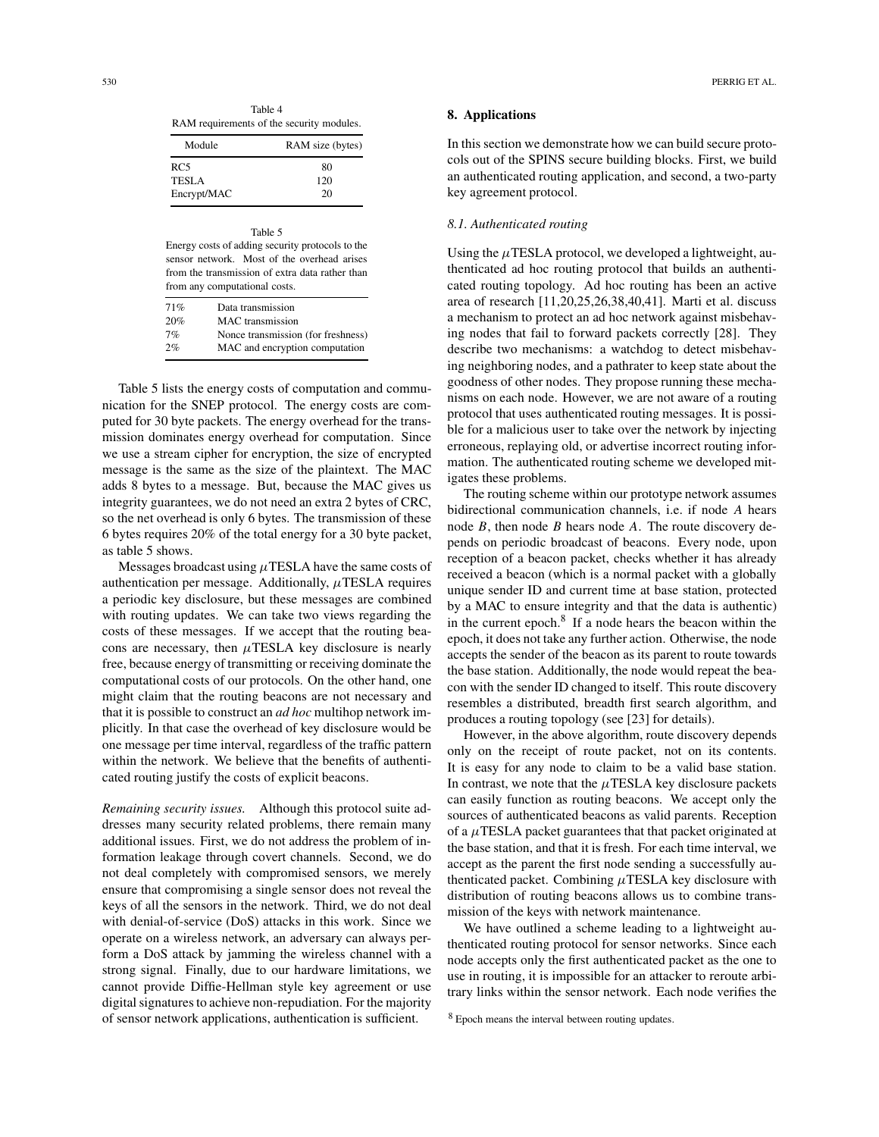| Table 4                                   |  |
|-------------------------------------------|--|
| RAM requirements of the security modules. |  |

| Module       | RAM size (bytes) |
|--------------|------------------|
| RC5          | 80               |
| <b>TESLA</b> | 120              |
| Encrypt/MAC  | 20               |

| Table 5                                          |
|--------------------------------------------------|
| Energy costs of adding security protocols to the |
| sensor network. Most of the overhead arises      |
| from the transmission of extra data rather than  |
| from any computational costs.                    |

| 71% | Data transmission                  |
|-----|------------------------------------|
| 20% | <b>MAC</b> transmission            |
| 7%  | Nonce transmission (for freshness) |
| 2%  | MAC and encryption computation     |

Table 5 lists the energy costs of computation and communication for the SNEP protocol. The energy costs are computed for 30 byte packets. The energy overhead for the transmission dominates energy overhead for computation. Since we use a stream cipher for encryption, the size of encrypted message is the same as the size of the plaintext. The MAC adds 8 bytes to a message. But, because the MAC gives us integrity guarantees, we do not need an extra 2 bytes of CRC, so the net overhead is only 6 bytes. The transmission of these 6 bytes requires 20% of the total energy for a 30 byte packet, as table 5 shows.

Messages broadcast using  $\mu$ TESLA have the same costs of authentication per message. Additionally,  $\mu$ TESLA requires a periodic key disclosure, but these messages are combined with routing updates. We can take two views regarding the costs of these messages. If we accept that the routing beacons are necessary, then  $\mu$ TESLA key disclosure is nearly free, because energy of transmitting or receiving dominate the computational costs of our protocols. On the other hand, one might claim that the routing beacons are not necessary and that it is possible to construct an ad hoc multihop network implicitly. In that case the overhead of key disclosure would be one message per time interval, regardless of the traffic pattern within the network. We believe that the benefits of authenticated routing justify the costs of explicit beacons.

Remaining security issues. Although this protocol suite addresses many security related problems, there remain many additional issues. First, we do not address the problem of information leakage through covert channels. Second, we do not deal completely with compromised sensors, we merely ensure that compromising a single sensor does not reveal the keys of all the sensors in the network. Third, we do not deal with denial-of-service (DoS) attacks in this work. Since we operate on a wireless network, an adversary can always perform a DoS attack by jamming the wireless channel with a strong signal. Finally, due to our hardware limitations, we cannot provide Diffie-Hellman style key agreement or use digital signatures to achieve non-repudiation. For the majority of sensor network applications, authentication is sufficient.

### 8. Applications

In this section we demonstrate how we can build secure protocols out of the SPINS secure building blocks. First, we build an authenticated routing application, and second, a two-party key agreement protocol.

# 8.1. Authenticated routing

Using the  $\mu$ TESLA protocol, we developed a lightweight, authenticated ad hoc routing protocol that builds an authenticated routing topology. Ad hoc routing has been an active area of research [11,20,25,26,38,40,41]. Marti et al. discuss a mechanism to protect an ad hoc network against misbehaving nodes that fail to forward packets correctly [28]. They describe two mechanisms: a watchdog to detect misbehaving neighboring nodes, and a pathrater to keep state about the goodness of other nodes. They propose running these mechanisms on each node. However, we are not aware of a routing protocol that uses authenticated routing messages. It is possible for a malicious user to take over the network by injecting erroneous, replaying old, or advertise incorrect routing information. The authenticated routing scheme we developed mitigates these problems.

The routing scheme within our prototype network assumes bidirectional communication channels, i.e. if node A hears node  $B$ , then node  $B$  hears node  $A$ . The route discovery depends on periodic broadcast of beacons. Every node, upon reception of a beacon packet, checks whether it has already received a beacon (which is a normal packet with a globally unique sender ID and current time at base station, protected by a MAC to ensure integrity and that the data is authentic) in the current epoch. $8$  If a node hears the beacon within the epoch, it does not take any further action. Otherwise, the node accepts the sender of the beacon as its parent to route towards the base station. Additionally, the node would repeat the beacon with the sender ID changed to itself. This route discovery resembles a distributed, breadth first search algorithm, and produces a routing topology (see [23] for details).

However, in the above algorithm, route discovery depends only on the receipt of route packet, not on its contents. It is easy for any node to claim to be a valid base station. In contrast, we note that the  $\mu$ TESLA key disclosure packets can easily function as routing beacons. We accept only the sources of authenticated beacons as valid parents. Reception of a  $\mu$ TESLA packet guarantees that that packet originated at the base station, and that it is fresh. For each time interval, we accept as the parent the first node sending a successfully authenticated packet. Combining  $\mu$ TESLA key disclosure with distribution of routing beacons allows us to combine transmission of the keys with network maintenance.

We have outlined a scheme leading to a lightweight authenticated routing protocol for sensor networks. Since each node accepts only the first authenticated packet as the one to use in routing, it is impossible for an attacker to reroute arbitrary links within the sensor network. Each node verifies the

<sup>8</sup> Epoch means the interval between routing updates.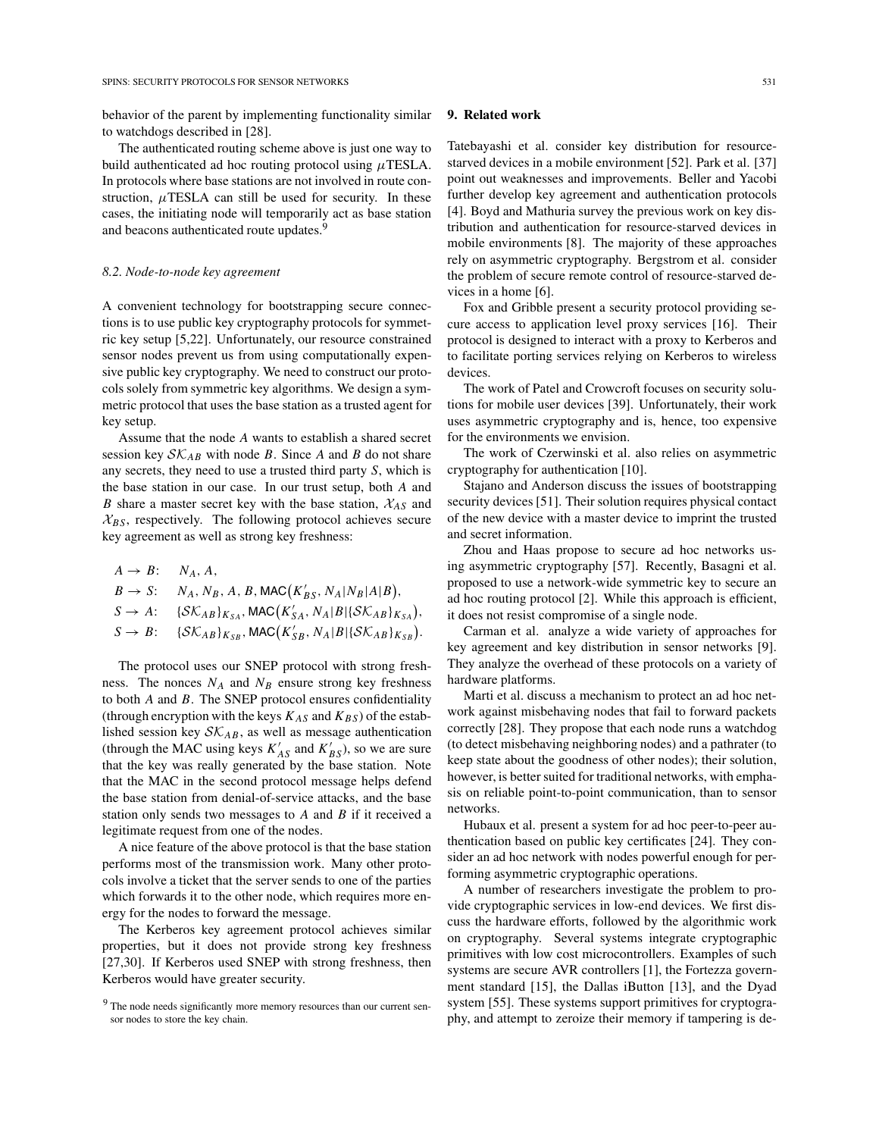behavior of the parent by implementing functionality similar to watchdogs described in [28].

The authenticated routing scheme above is just one way to build authenticated ad hoc routing protocol using  $\mu$ TESLA. In protocols where base stations are not involved in route construction,  $\mu$ TESLA can still be used for security. In these cases, the initiating node will temporarily act as base station and beacons authenticated route updates.<sup>9</sup>

### 8.2. Node-to-node key agreement

A convenient technology for bootstrapping secure connections is to use public key cryptography protocols for symmetric key setup [5,22]. Unfortunately, our resource constrained sensor nodes prevent us from using computationally expensive public key cryptography. We need to construct our protocols solely from symmetric key algorithms. We design a symmetric protocol that uses the base station as a trusted agent for key setup.

Assume that the node A wants to establish a shared secret session key  $\mathcal{SK}_{AB}$  with node B. Since A and B do not share any secrets, they need to use a trusted third party S, which is the base station in our case. In our trust setup, both A and B share a master secret key with the base station,  $\mathcal{X}_{AS}$  and  $X_{BS}$ , respectively. The following protocol achieves secure key agreement as well as strong key freshness:

$$
A \rightarrow B: \quad N_A, A,
$$
  
\n
$$
B \rightarrow S: \quad N_A, N_B, A, B, \text{MAC}(K'_{BS}, N_A|N_B|A|B),
$$
  
\n
$$
S \rightarrow A: \quad \{SK_{AB}\}_{K_{SA}}, \text{MAC}(K'_{SA}, N_A|B|\{\mathcal{SK}_{AB}\}_{K_{SA}}),
$$
  
\n
$$
S \rightarrow B: \quad \{SK_{AB}\}_{K_{SB}}, \text{MAC}(K'_{SB}, N_A|B|\{\mathcal{SK}_{AB}\}_{K_{SB}}).
$$

The protocol uses our SNEP protocol with strong freshness. The nonces  $N_A$  and  $N_B$  ensure strong key freshness to both  $A$  and  $B$ . The SNEP protocol ensures confidentiality (through encryption with the keys  $K_{AS}$  and  $K_{BS}$ ) of the established session key  $\mathcal{SK}_{AB}$ , as well as message authentication (through the MAC using keys  $K'_{AS}$  and  $K'_{BS}$ ), so we are sure that the key was really generated by the base station. Note that the MAC in the second protocol message helps defend the base station from denial-of-service attacks, and the base station only sends two messages to  $A$  and  $B$  if it received a legitimate request from one of the nodes.

A nice feature of the above protocol is that the base station performs most of the transmission work. Many other protocols involve a ticket that the server sends to one of the parties which forwards it to the other node, which requires more energy for the nodes to forward the message.

The Kerberos key agreement protocol achieves similar properties, but it does not provide strong key freshness [27,30]. If Kerberos used SNEP with strong freshness, then Kerberos would have greater security.

### 9. Related work

Tatebayashi et al. consider key distribution for resourcestarved devices in a mobile environment [52]. Park et al. [37] point out weaknesses and improvements. Beller and Yacobi further develop key agreement and authentication protocols [4]. Boyd and Mathuria survey the previous work on key distribution and authentication for resource-starved devices in mobile environments [8]. The majority of these approaches rely on asymmetric cryptography. Bergstrom et al. consider the problem of secure remote control of resource-starved devices in a home [6].

Fox and Gribble present a security protocol providing secure access to application level proxy services [16]. Their protocol is designed to interact with a proxy to Kerberos and to facilitate porting services relying on Kerberos to wireless devices.

The work of Patel and Crowcroft focuses on security solutions for mobile user devices [39]. Unfortunately, their work uses asymmetric cryptography and is, hence, too expensive for the environments we envision.

The work of Czerwinski et al. also relies on asymmetric cryptography for authentication [10].

Stajano and Anderson discuss the issues of bootstrapping security devices [51]. Their solution requires physical contact of the new device with a master device to imprint the trusted and secret information.

Zhou and Haas propose to secure ad hoc networks using asymmetric cryptography [57]. Recently, Basagni et al. proposed to use a network-wide symmetric key to secure an ad hoc routing protocol [2]. While this approach is efficient, it does not resist compromise of a single node.

Carman et al. analyze a wide variety of approaches for key agreement and key distribution in sensor networks [9]. They analyze the overhead of these protocols on a variety of hardware platforms.

Marti et al. discuss a mechanism to protect an ad hoc network against misbehaving nodes that fail to forward packets correctly [28]. They propose that each node runs a watchdog (to detect misbehaving neighboring nodes) and a pathrater (to keep state about the goodness of other nodes); their solution, however, is better suited for traditional networks, with emphasis on reliable point-to-point communication, than to sensor networks.

Hubaux et al. present a system for ad hoc peer-to-peer authentication based on public key certificates [24]. They consider an ad hoc network with nodes powerful enough for performing asymmetric cryptographic operations.

A number of researchers investigate the problem to provide cryptographic services in low-end devices. We first discuss the hardware efforts, followed by the algorithmic work on cryptography. Several systems integrate cryptographic primitives with low cost microcontrollers. Examples of such systems are secure AVR controllers [1], the Fortezza government standard [15], the Dallas iButton [13], and the Dyad system [55]. These systems support primitives for cryptography, and attempt to zeroize their memory if tampering is de-

<sup>&</sup>lt;sup>9</sup> The node needs significantly more memory resources than our current sensor nodes to store the key chain.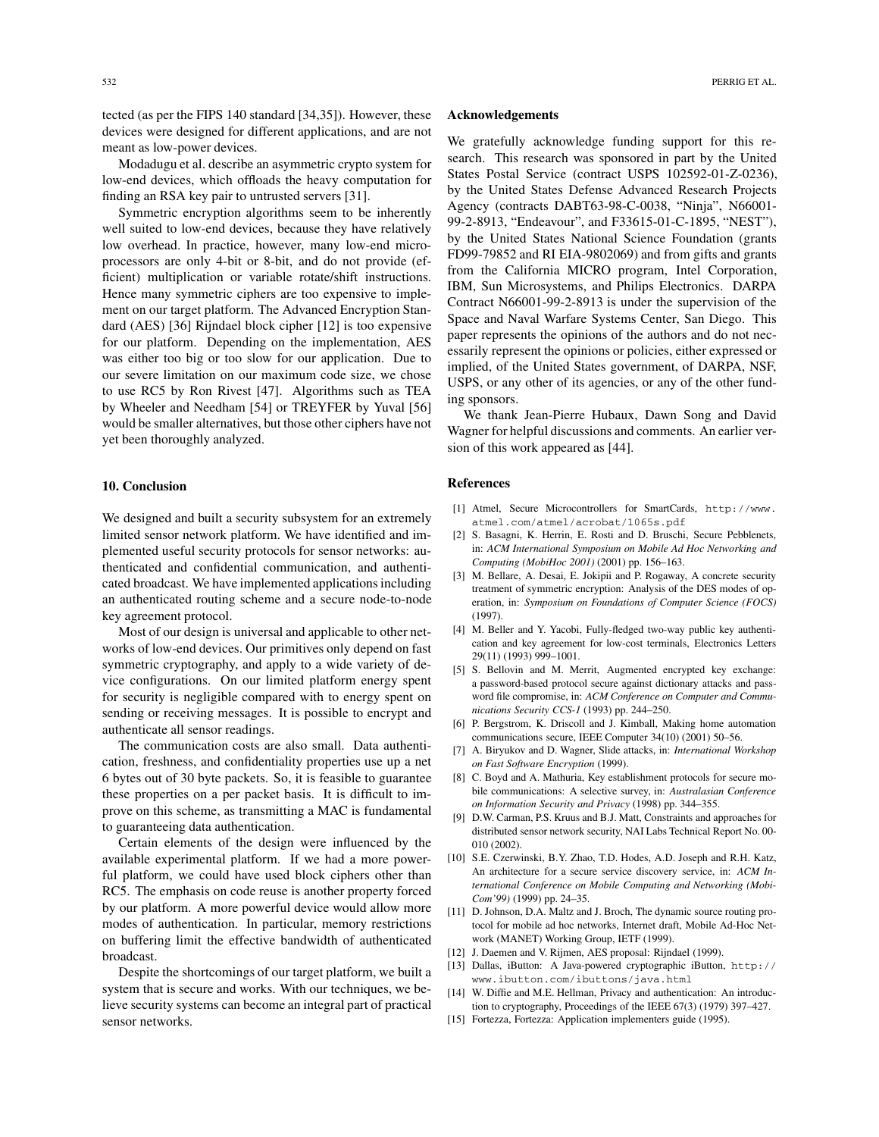tected (as per the FIPS 140 standard [34,35]). However, these devices were designed for different applications, and are not meant as low-power devices.

Modadugu et al. describe an asymmetric crypto system for low-end devices, which offloads the heavy computation for finding an RSA key pair to untrusted servers [31].

Symmetric encryption algorithms seem to be inherently well suited to low-end devices, because they have relatively low overhead. In practice, however, many low-end microprocessors are only 4-bit or 8-bit, and do not provide (efficient) multiplication or variable rotate/shift instructions. Hence many symmetric ciphers are too expensive to implement on our target platform. The Advanced Encryption Standard (AES) [36] Rijndael block cipher [12] is too expensive for our platform. Depending on the implementation, AES was either too big or too slow for our application. Due to our severe limitation on our maximum code size, we chose to use RC5 by Ron Rivest [47]. Algorithms such as TEA by Wheeler and Needham [54] or TREYFER by Yuval [56] would be smaller alternatives, but those other ciphers have not yet been thoroughly analyzed.

### 10. Conclusion

We designed and built a security subsystem for an extremely limited sensor network platform. We have identified and implemented useful security protocols for sensor networks: authenticated and confidential communication, and authenticated broadcast. We have implemented applicationsincluding an authenticated routing scheme and a secure node-to-node key agreement protocol.

Most of our design is universal and applicable to other networks of low-end devices. Our primitives only depend on fast symmetric cryptography, and apply to a wide variety of device configurations. On our limited platform energy spent for security is negligible compared with to energy spent on sending or receiving messages. It is possible to encrypt and authenticate all sensor readings.

The communication costs are also small. Data authentication, freshness, and confidentiality properties use up a net 6 bytes out of 30 byte packets. So, it is feasible to guarantee these properties on a per packet basis. It is difficult to improve on this scheme, as transmitting a MAC is fundamental to guaranteeing data authentication.

Certain elements of the design were influenced by the available experimental platform. If we had a more powerful platform, we could have used block ciphers other than RC5. The emphasis on code reuse is another property forced by our platform. A more powerful device would allow more modes of authentication. In particular, memory restrictions on buffering limit the effective bandwidth of authenticated broadcast.

Despite the shortcomings of our target platform, we built a system that is secure and works. With our techniques, we believe security systems can become an integral part of practical sensor networks.

### Acknowledgements

We gratefully acknowledge funding support for this research. This research was sponsored in part by the United States Postal Service (contract USPS 102592-01-Z-0236), by the United States Defense Advanced Research Projects Agency (contracts DABT63-98-C-0038, "Ninja", N66001- 99-2-8913, "Endeavour", and F33615-01-C-1895, "NEST"), by the United States National Science Foundation (grants FD99-79852 and RI EIA-9802069) and from gifts and grants from the California MICRO program, Intel Corporation, IBM, Sun Microsystems, and Philips Electronics. DARPA Contract N66001-99-2-8913 is under the supervision of the Space and Naval Warfare Systems Center, San Diego. This paper represents the opinions of the authors and do not necessarily represent the opinions or policies, either expressed or implied, of the United States government, of DARPA, NSF, USPS, or any other of its agencies, or any of the other funding sponsors.

We thank Jean-Pierre Hubaux, Dawn Song and David Wagner for helpful discussions and comments. An earlier version of this work appeared as [44].

# References

- [1] Atmel, Secure Microcontrollers for SmartCards, http://www. atmel.com/atmel/acrobat/1065s.pdf
- [2] S. Basagni, K. Herrin, E. Rosti and D. Bruschi, Secure Pebblenets, in: ACM International Symposium on Mobile Ad Hoc Networking and Computing (MobiHoc 2001) (2001) pp. 156–163.
- [3] M. Bellare, A. Desai, E. Jokipii and P. Rogaway, A concrete security treatment of symmetric encryption: Analysis of the DES modes of operation, in: Symposium on Foundations of Computer Science (FOCS) (1997).
- [4] M. Beller and Y. Yacobi, Fully-fledged two-way public key authentication and key agreement for low-cost terminals, Electronics Letters 29(11) (1993) 999–1001.
- [5] S. Bellovin and M. Merrit, Augmented encrypted key exchange: a password-based protocol secure against dictionary attacks and password file compromise, in: ACM Conference on Computer and Communications Security CCS-1 (1993) pp. 244–250.
- [6] P. Bergstrom, K. Driscoll and J. Kimball, Making home automation communications secure, IEEE Computer 34(10) (2001) 50–56.
- [7] A. Biryukov and D. Wagner, Slide attacks, in: International Workshop on Fast Software Encryption (1999).
- [8] C. Boyd and A. Mathuria, Key establishment protocols for secure mobile communications: A selective survey, in: Australasian Conference on Information Security and Privacy (1998) pp. 344–355.
- [9] D.W. Carman, P.S. Kruus and B.J. Matt, Constraints and approaches for distributed sensor network security, NAI Labs Technical Report No. 00- 010 (2002).
- [10] S.E. Czerwinski, B.Y. Zhao, T.D. Hodes, A.D. Joseph and R.H. Katz, An architecture for a secure service discovery service, in: ACM International Conference on Mobile Computing and Networking (Mobi-Com'99) (1999) pp. 24–35.
- [11] D. Johnson, D.A. Maltz and J. Broch, The dynamic source routing protocol for mobile ad hoc networks, Internet draft, Mobile Ad-Hoc Network (MANET) Working Group, IETF (1999).
- [12] J. Daemen and V. Rijmen, AES proposal: Rijndael (1999).
- [13] Dallas, iButton: A Java-powered cryptographic iButton, http:// www.ibutton.com/ibuttons/java.html
- [14] W. Diffie and M.E. Hellman, Privacy and authentication: An introduction to cryptography, Proceedings of the IEEE 67(3) (1979) 397–427.
- [15] Fortezza, Fortezza: Application implementers guide (1995).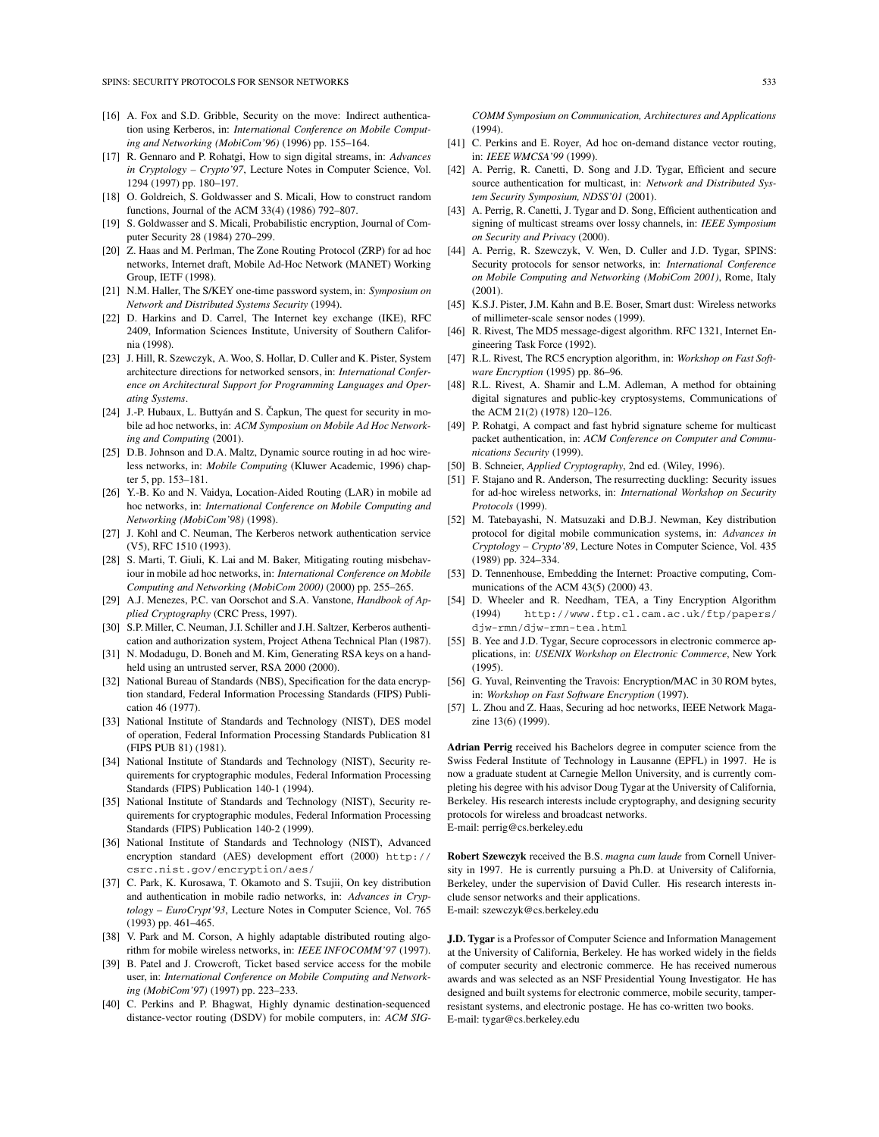- [16] A. Fox and S.D. Gribble, Security on the move: Indirect authentication using Kerberos, in: International Conference on Mobile Computing and Networking (MobiCom'96) (1996) pp. 155–164.
- [17] R. Gennaro and P. Rohatgi, How to sign digital streams, in: Advances in Cryptology – Crypto'97, Lecture Notes in Computer Science, Vol. 1294 (1997) pp. 180–197.
- [18] O. Goldreich, S. Goldwasser and S. Micali, How to construct random functions, Journal of the ACM 33(4) (1986) 792–807.
- [19] S. Goldwasser and S. Micali, Probabilistic encryption, Journal of Computer Security 28 (1984) 270–299.
- [20] Z. Haas and M. Perlman, The Zone Routing Protocol (ZRP) for ad hoc networks, Internet draft, Mobile Ad-Hoc Network (MANET) Working Group, IETF (1998).
- [21] N.M. Haller, The S/KEY one-time password system, in: Symposium on Network and Distributed Systems Security (1994).
- [22] D. Harkins and D. Carrel, The Internet key exchange (IKE), RFC 2409, Information Sciences Institute, University of Southern California (1998).
- [23] J. Hill, R. Szewczyk, A. Woo, S. Hollar, D. Culler and K. Pister, System architecture directions for networked sensors, in: International Conference on Architectural Support for Programming Languages and Operating Systems.
- [24] J.-P. Hubaux, L. Buttyán and S. Čapkun, The quest for security in mobile ad hoc networks, in: ACM Symposium on Mobile Ad Hoc Networking and Computing (2001).
- [25] D.B. Johnson and D.A. Maltz, Dynamic source routing in ad hoc wireless networks, in: Mobile Computing (Kluwer Academic, 1996) chapter 5, pp. 153–181.
- [26] Y.-B. Ko and N. Vaidya, Location-Aided Routing (LAR) in mobile ad hoc networks, in: International Conference on Mobile Computing and Networking (MobiCom'98) (1998).
- [27] J. Kohl and C. Neuman, The Kerberos network authentication service (V5), RFC 1510 (1993).
- [28] S. Marti, T. Giuli, K. Lai and M. Baker, Mitigating routing misbehaviour in mobile ad hoc networks, in: International Conference on Mobile Computing and Networking (MobiCom 2000) (2000) pp. 255–265.
- [29] A.J. Menezes, P.C. van Oorschot and S.A. Vanstone, Handbook of Applied Cryptography (CRC Press, 1997).
- [30] S.P. Miller, C. Neuman, J.I. Schiller and J.H. Saltzer, Kerberos authentication and authorization system, Project Athena Technical Plan (1987).
- [31] N. Modadugu, D. Boneh and M. Kim, Generating RSA keys on a handheld using an untrusted server, RSA 2000 (2000).
- [32] National Bureau of Standards (NBS), Specification for the data encryption standard, Federal Information Processing Standards (FIPS) Publication 46 (1977).
- [33] National Institute of Standards and Technology (NIST), DES model of operation, Federal Information Processing Standards Publication 81 (FIPS PUB 81) (1981).
- [34] National Institute of Standards and Technology (NIST), Security requirements for cryptographic modules, Federal Information Processing Standards (FIPS) Publication 140-1 (1994).
- [35] National Institute of Standards and Technology (NIST), Security requirements for cryptographic modules, Federal Information Processing Standards (FIPS) Publication 140-2 (1999).
- [36] National Institute of Standards and Technology (NIST), Advanced encryption standard (AES) development effort (2000) http:// csrc.nist.gov/encryption/aes/
- [37] C. Park, K. Kurosawa, T. Okamoto and S. Tsujii, On key distribution and authentication in mobile radio networks, in: Advances in Cryptology – EuroCrypt'93, Lecture Notes in Computer Science, Vol. 765 (1993) pp. 461–465.
- [38] V. Park and M. Corson, A highly adaptable distributed routing algorithm for mobile wireless networks, in: IEEE INFOCOMM'97 (1997).
- [39] B. Patel and J. Crowcroft, Ticket based service access for the mobile user, in: International Conference on Mobile Computing and Networking (MobiCom'97) (1997) pp. 223–233.
- [40] C. Perkins and P. Bhagwat, Highly dynamic destination-sequenced distance-vector routing (DSDV) for mobile computers, in: ACM SIG-

COMM Symposium on Communication, Architectures and Applications (1994).

- [41] C. Perkins and E. Royer, Ad hoc on-demand distance vector routing, in: IEEE WMCSA'99 (1999).
- [42] A. Perrig, R. Canetti, D. Song and J.D. Tygar, Efficient and secure source authentication for multicast, in: Network and Distributed System Security Symposium, NDSS'01 (2001).
- [43] A. Perrig, R. Canetti, J. Tygar and D. Song, Efficient authentication and signing of multicast streams over lossy channels, in: IEEE Symposium on Security and Privacy (2000).
- [44] A. Perrig, R. Szewczyk, V. Wen, D. Culler and J.D. Tygar, SPINS: Security protocols for sensor networks, in: International Conference on Mobile Computing and Networking (MobiCom 2001), Rome, Italy (2001).
- [45] K.S.J. Pister, J.M. Kahn and B.E. Boser, Smart dust: Wireless networks of millimeter-scale sensor nodes (1999).
- [46] R. Rivest, The MD5 message-digest algorithm. RFC 1321, Internet Engineering Task Force (1992).
- [47] R.L. Rivest, The RC5 encryption algorithm, in: Workshop on Fast Software Encryption (1995) pp. 86–96.
- [48] R.L. Rivest, A. Shamir and L.M. Adleman, A method for obtaining digital signatures and public-key cryptosystems, Communications of the ACM 21(2) (1978) 120–126.
- [49] P. Rohatgi, A compact and fast hybrid signature scheme for multicast packet authentication, in: ACM Conference on Computer and Communications Security (1999).
- [50] B. Schneier, Applied Cryptography, 2nd ed. (Wiley, 1996).
- [51] F. Stajano and R. Anderson, The resurrecting duckling: Security issues for ad-hoc wireless networks, in: International Workshop on Security Protocols (1999).
- [52] M. Tatebayashi, N. Matsuzaki and D.B.J. Newman, Key distribution protocol for digital mobile communication systems, in: Advances in Cryptology – Crypto'89, Lecture Notes in Computer Science, Vol. 435 (1989) pp. 324–334.
- [53] D. Tennenhouse, Embedding the Internet: Proactive computing, Communications of the ACM 43(5) (2000) 43.
- [54] D. Wheeler and R. Needham, TEA, a Tiny Encryption Algorithm (1994) http://www.ftp.cl.cam.ac.uk/ftp/papers/ djw-rmn/djw-rmn-tea.html
- [55] B. Yee and J.D. Tygar, Secure coprocessors in electronic commerce applications, in: USENIX Workshop on Electronic Commerce, New York (1995).
- [56] G. Yuval, Reinventing the Travois: Encryption/MAC in 30 ROM bytes, in: Workshop on Fast Software Encryption (1997).
- [57] L. Zhou and Z. Haas, Securing ad hoc networks, IEEE Network Magazine 13(6) (1999).

Adrian Perrig received his Bachelors degree in computer science from the Swiss Federal Institute of Technology in Lausanne (EPFL) in 1997. He is now a graduate student at Carnegie Mellon University, and is currently completing his degree with his advisor Doug Tygar at the University of California, Berkeley. His research interests include cryptography, and designing security protocols for wireless and broadcast networks. E-mail: perrig@cs.berkeley.edu

Robert Szewczyk received the B.S. magna cum laude from Cornell University in 1997. He is currently pursuing a Ph.D. at University of California, Berkeley, under the supervision of David Culler. His research interests include sensor networks and their applications. E-mail: szewczyk@cs.berkeley.edu

J.D. Tygar is a Professor of Computer Science and Information Management at the University of California, Berkeley. He has worked widely in the fields of computer security and electronic commerce. He has received numerous awards and was selected as an NSF Presidential Young Investigator. He has designed and built systems for electronic commerce, mobile security, tamperresistant systems, and electronic postage. He has co-written two books. E-mail: tygar@cs.berkeley.edu